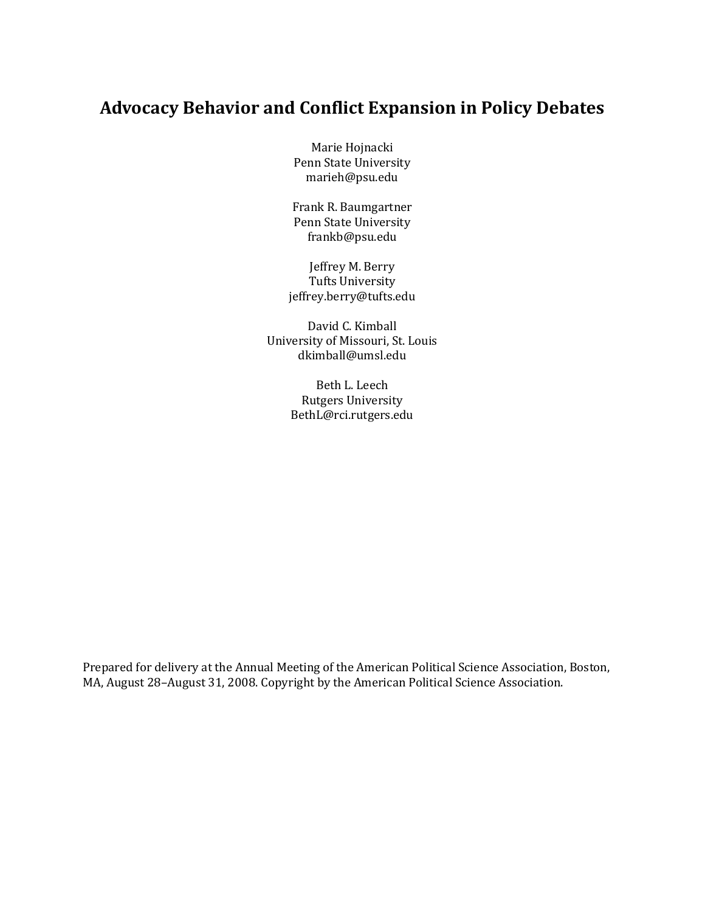### **Advocacy Behavior and Conflict Expansion in Policy Debates**

Marie Hojnacki Penn State University marieh@psu.edu

Frank R. Baumgartner Penn State University frankb@psu.edu

Jeffrey M. Berry Tufts University jeffrey.berry@tufts.edu

David C. Kimball University of Missouri, St. Louis dkimball@umsl.edu

> Beth L. Leech Rutgers University BethL@rci.rutgers.edu

Prepared for delivery at the Annual Meeting of the American Political Science Association, Boston, MA, August 28–August 31, 2008. Copyright by the American Political Science Association.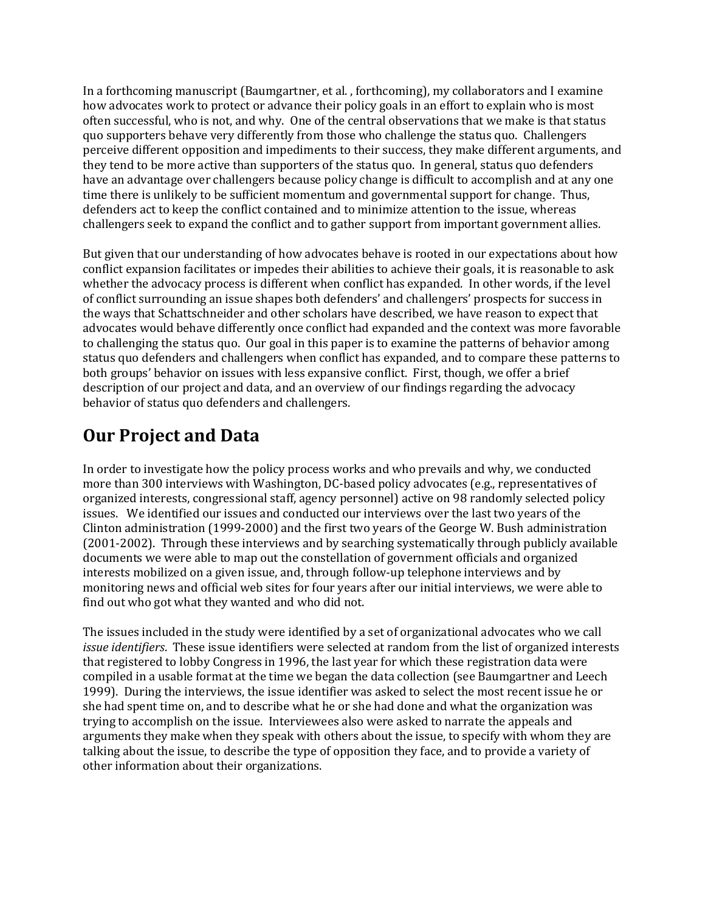In a forthcoming manuscript (Baumgartner, et al. , forthcoming), my collaborators and I examine how advocates work to protect or advance their policy goals in an effort to explain who is most often successful, who is not, and why. One of the central observations that we make is that status quo supporters behave very differently from those who challenge the status quo. Challengers perceive different opposition and impediments to their success, they make different arguments, and they tend to be more active than supporters of the status quo. In general, status quo defenders have an advantage over challengers because policy change is difficult to accomplish and at any one time there is unlikely to be sufficient momentum and governmental support for change. Thus, defenders act to keep the conflict contained and to minimize attention to the issue, whereas challengers seek to expand the conflict and to gather support from important government allies.

But given that our understanding of how advocates behave is rooted in our expectations about how conflict expansion facilitates or impedes their abilities to achieve their goals, it is reasonable to ask whether the advocacy process is different when conflict has expanded. In other words, if the level of conflict surrounding an issue shapes both defenders' and challengers' prospects for success in the ways that Schattschneider and other scholars have described, we have reason to expect that advocates would behave differently once conflict had expanded and the context was more favorable to challenging the status quo. Our goal in this paper is to examine the patterns of behavior among status quo defenders and challengers when conflict has expanded, and to compare these patterns to both groups' behavior on issues with less expansive conflict. First, though, we offer a brief description of our project and data, and an overview of our findings regarding the advocacy behavior of status quo defenders and challengers.

## **Our Project and Data**

In order to investigate how the policy process works and who prevails and why, we conducted more than 300 interviews with Washington, DC-based policy advocates (e.g., representatives of organized interests, congressional staff, agency personnel) active on 98 randomly selected policy issues. We identified our issues and conducted our interviews over the last two years of the Clinton administration (1999-2000) and the first two years of the George W. Bush administration (2001-2002). Through these interviews and by searching systematically through publicly available documents we were able to map out the constellation of government officials and organized interests mobilized on a given issue, and, through follow-up telephone interviews and by monitoring news and official web sites for four years after our initial interviews, we were able to find out who got what they wanted and who did not.

The issues included in the study were identified by a set of organizational advocates who we call *issue identifiers*. These issue identifiers were selected at random from the list of organized interests that registered to lobby Congress in 1996, the last year for which these registration data were compiled in a usable format at the time we began the data collection (see Baumgartner and Leech 1999). During the interviews, the issue identifier was asked to select the most recent issue he or she had spent time on, and to describe what he or she had done and what the organization was trying to accomplish on the issue. Interviewees also were asked to narrate the appeals and arguments they make when they speak with others about the issue, to specify with whom they are talking about the issue, to describe the type of opposition they face, and to provide a variety of other information about their organizations.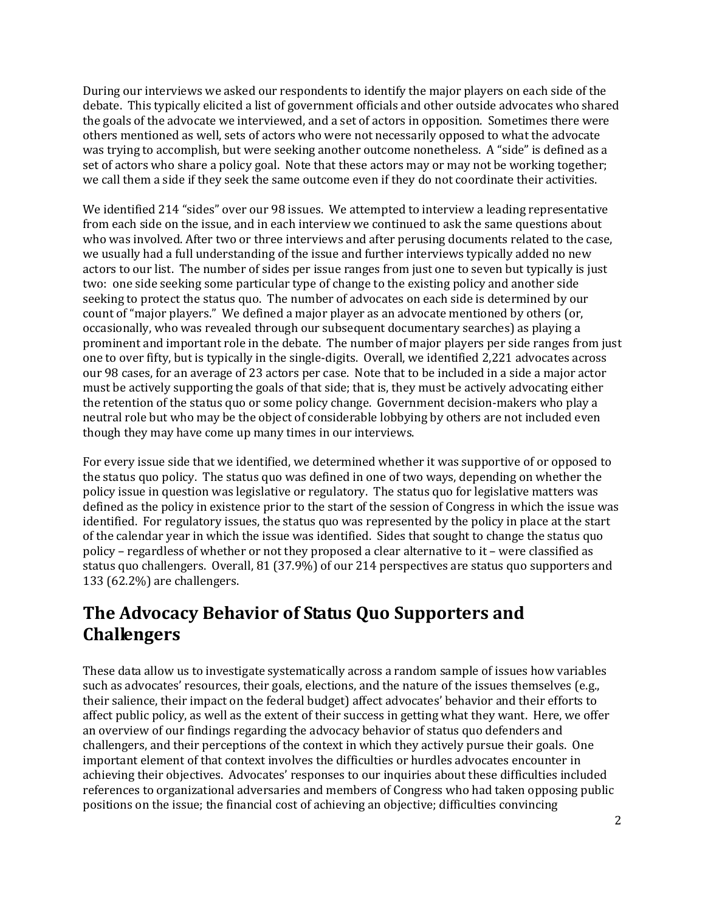During our interviews we asked our respondents to identify the major players on each side of the debate. This typically elicited a list of government officials and other outside advocates who shared the goals of the advocate we interviewed, and a set of actors in opposition. Sometimes there were others mentioned as well, sets of actors who were not necessarily opposed to what the advocate was trying to accomplish, but were seeking another outcome nonetheless. A "side" is defined as a set of actors who share a policy goal. Note that these actors may or may not be working together; we call them a side if they seek the same outcome even if they do not coordinate their activities.

We identified 214 "sides" over our 98 issues. We attempted to interview a leading representative from each side on the issue, and in each interview we continued to ask the same questions about who was involved. After two or three interviews and after perusing documents related to the case, we usually had a full understanding of the issue and further interviews typically added no new actors to our list. The number of sides per issue ranges from just one to seven but typically is just two: one side seeking some particular type of change to the existing policy and another side seeking to protect the status quo. The number of advocates on each side is determined by our count of "major players." We defined a major player as an advocate mentioned by others (or, occasionally, who was revealed through our subsequent documentary searches) as playing a prominent and important role in the debate. The number of major players per side ranges from just one to over fifty, but is typically in the single-digits. Overall, we identified 2,221 advocates across our 98 cases, for an average of 23 actors per case. Note that to be included in a side a major actor must be actively supporting the goals of that side; that is, they must be actively advocating either the retention of the status quo or some policy change. Government decision-makers who play a neutral role but who may be the object of considerable lobbying by others are not included even though they may have come up many times in our interviews.

For every issue side that we identified, we determined whether it was supportive of or opposed to the status quo policy. The status quo was defined in one of two ways, depending on whether the policy issue in question was legislative or regulatory. The status quo for legislative matters was defined as the policy in existence prior to the start of the session of Congress in which the issue was identified. For regulatory issues, the status quo was represented by the policy in place at the start of the calendar year in which the issue was identified. Sides that sought to change the status quo policy – regardless of whether or not they proposed a clear alternative to it – were classified as status quo challengers. Overall, 81 (37.9%) of our 214 perspectives are status quo supporters and 133 (62.2%) are challengers.

## **The Advocacy Behavior of Status Quo Supporters and Challengers**

These data allow us to investigate systematically across a random sample of issues how variables such as advocates' resources, their goals, elections, and the nature of the issues themselves (e.g., their salience, their impact on the federal budget) affect advocates' behavior and their efforts to affect public policy, as well as the extent of their success in getting what they want. Here, we offer an overview of our findings regarding the advocacy behavior of status quo defenders and challengers, and their perceptions of the context in which they actively pursue their goals. One important element of that context involves the difficulties or hurdles advocates encounter in achieving their objectives. Advocates' responses to our inquiries about these difficulties included references to organizational adversaries and members of Congress who had taken opposing public positions on the issue; the financial cost of achieving an objective; difficulties convincing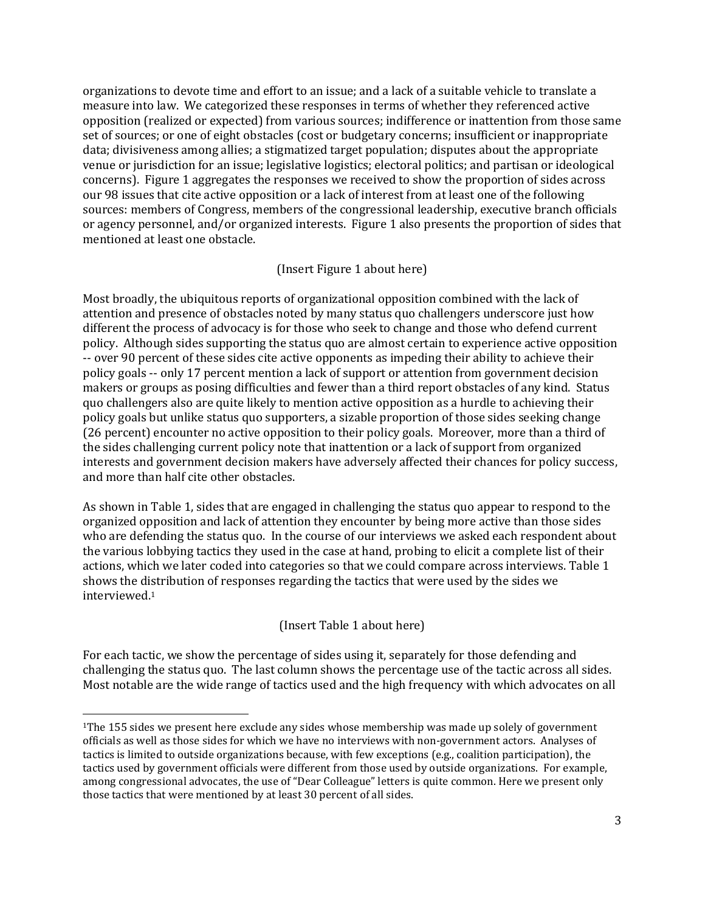organizations to devote time and effort to an issue; and a lack of a suitable vehicle to translate a measure into law. We categorized these responses in terms of whether they referenced active opposition (realized or expected) from various sources; indifference or inattention from those same set of sources; or one of eight obstacles (cost or budgetary concerns; insufficient or inappropriate data; divisiveness among allies; a stigmatized target population; disputes about the appropriate venue or jurisdiction for an issue; legislative logistics; electoral politics; and partisan or ideological concerns). Figure 1 aggregates the responses we received to show the proportion of sides across our 98 issues that cite active opposition or a lack of interest from at least one of the following sources: members of Congress, members of the congressional leadership, executive branch officials or agency personnel, and/or organized interests. Figure 1 also presents the proportion of sides that mentioned at least one obstacle.

#### (Insert Figure 1 about here)

Most broadly, the ubiquitous reports of organizational opposition combined with the lack of attention and presence of obstacles noted by many status quo challengers underscore just how different the process of advocacy is for those who seek to change and those who defend current policy. Although sides supporting the status quo are almost certain to experience active opposition -- over 90 percent of these sides cite active opponents as impeding their ability to achieve their policy goals -- only 17 percent mention a lack of support or attention from government decision makers or groups as posing difficulties and fewer than a third report obstacles of any kind. Status quo challengers also are quite likely to mention active opposition as a hurdle to achieving their policy goals but unlike status quo supporters, a sizable proportion of those sides seeking change (26 percent) encounter no active opposition to their policy goals. Moreover, more than a third of the sides challenging current policy note that inattention or a lack of support from organized interests and government decision makers have adversely affected their chances for policy success, and more than half cite other obstacles.

As shown in Table 1, sides that are engaged in challenging the status quo appear to respond to the organized opposition and lack of attention they encounter by being more active than those sides who are defending the status quo. In the course of our interviews we asked each respondent about the various lobbying tactics they used in the case at hand, probing to elicit a complete list of their actions, which we later coded into categories so that we could compare across interviews. Table 1 shows the distribution of responses regarding the tactics that were used by the sides we interviewed.<sup>1</sup>

### (Insert Table 1 about here)

For each tactic, we show the percentage of sides using it, separately for those defending and challenging the status quo. The last column shows the percentage use of the tactic across all sides. Most notable are the wide range of tactics used and the high frequency with which advocates on all

 $\overline{a}$ 

<sup>&</sup>lt;sup>1</sup>The 155 sides we present here exclude any sides whose membership was made up solely of government officials as well as those sides for which we have no interviews with non-government actors. Analyses of tactics is limited to outside organizations because, with few exceptions (e.g., coalition participation), the tactics used by government officials were different from those used by outside organizations. For example, among congressional advocates, the use of "Dear Colleague" letters is quite common. Here we present only those tactics that were mentioned by at least 30 percent of all sides.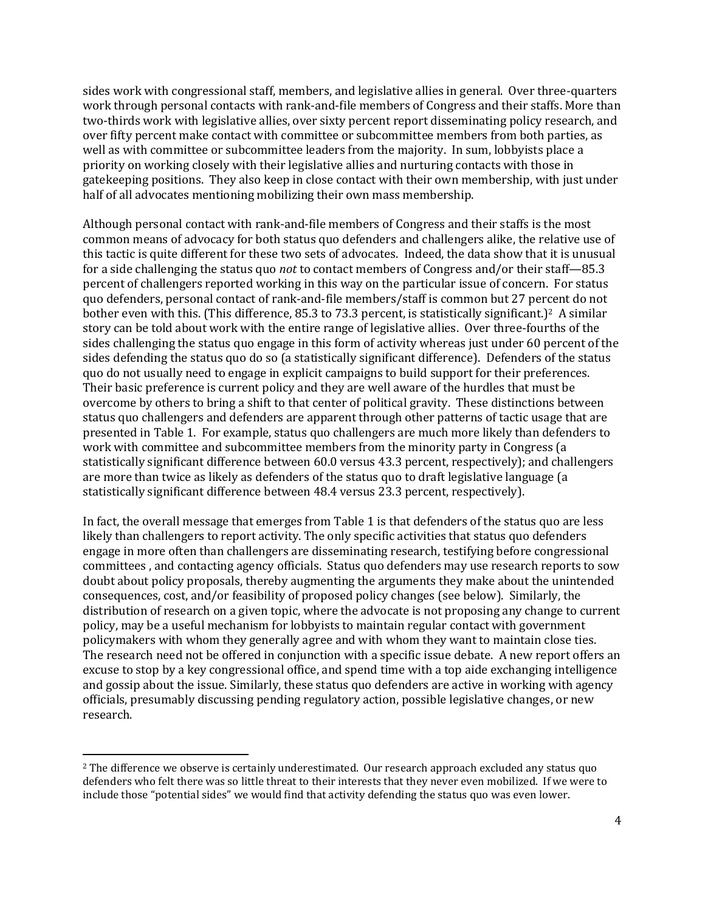sides work with congressional staff, members, and legislative allies in general. Over three-quarters work through personal contacts with rank-and-file members of Congress and their staffs. More than two-thirds work with legislative allies, over sixty percent report disseminating policy research, and over fifty percent make contact with committee or subcommittee members from both parties, as well as with committee or subcommittee leaders from the majority. In sum, lobbyists place a priority on working closely with their legislative allies and nurturing contacts with those in gatekeeping positions. They also keep in close contact with their own membership, with just under half of all advocates mentioning mobilizing their own mass membership.

Although personal contact with rank-and-file members of Congress and their staffs is the most common means of advocacy for both status quo defenders and challengers alike, the relative use of this tactic is quite different for these two sets of advocates. Indeed, the data show that it is unusual for a side challenging the status quo *not* to contact members of Congress and/or their staff—85.3 percent of challengers reported working in this way on the particular issue of concern. For status quo defenders, personal contact of rank-and-file members/staff is common but 27 percent do not bother even with this. (This difference, 85.3 to 73.3 percent, is statistically significant.)<sup>2</sup> A similar story can be told about work with the entire range of legislative allies. Over three-fourths of the sides challenging the status quo engage in this form of activity whereas just under 60 percent of the sides defending the status quo do so (a statistically significant difference). Defenders of the status quo do not usually need to engage in explicit campaigns to build support for their preferences. Their basic preference is current policy and they are well aware of the hurdles that must be overcome by others to bring a shift to that center of political gravity. These distinctions between status quo challengers and defenders are apparent through other patterns of tactic usage that are presented in Table 1. For example, status quo challengers are much more likely than defenders to work with committee and subcommittee members from the minority party in Congress (a statistically significant difference between 60.0 versus 43.3 percent, respectively); and challengers are more than twice as likely as defenders of the status quo to draft legislative language (a statistically significant difference between 48.4 versus 23.3 percent, respectively).

In fact, the overall message that emerges from Table 1 is that defenders of the status quo are less likely than challengers to report activity. The only specific activities that status quo defenders engage in more often than challengers are disseminating research, testifying before congressional committees , and contacting agency officials. Status quo defenders may use research reports to sow doubt about policy proposals, thereby augmenting the arguments they make about the unintended consequences, cost, and/or feasibility of proposed policy changes (see below). Similarly, the distribution of research on a given topic, where the advocate is not proposing any change to current policy, may be a useful mechanism for lobbyists to maintain regular contact with government policymakers with whom they generally agree and with whom they want to maintain close ties. The research need not be offered in conjunction with a specific issue debate. A new report offers an excuse to stop by a key congressional office, and spend time with a top aide exchanging intelligence and gossip about the issue. Similarly, these status quo defenders are active in working with agency officials, presumably discussing pending regulatory action, possible legislative changes, or new research.

<sup>&</sup>lt;sup>2</sup> The difference we observe is certainly underestimated. Our research approach excluded any status quo defenders who felt there was so little threat to their interests that they never even mobilized. If we were to include those "potential sides" we would find that activity defending the status quo was even lower.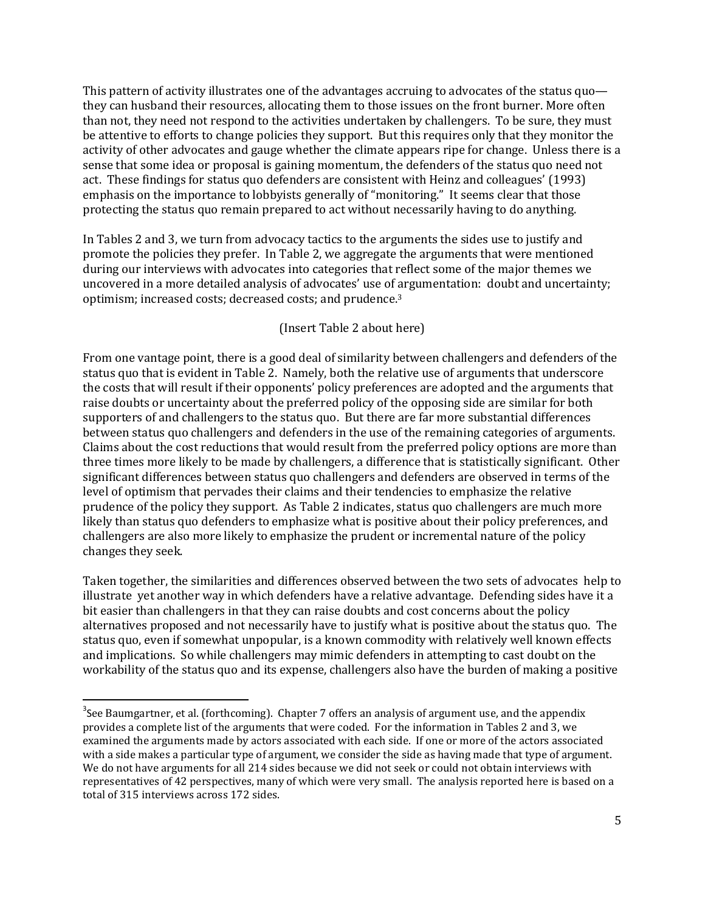This pattern of activity illustrates one of the advantages accruing to advocates of the status quo they can husband their resources, allocating them to those issues on the front burner. More often than not, they need not respond to the activities undertaken by challengers. To be sure, they must be attentive to efforts to change policies they support. But this requires only that they monitor the activity of other advocates and gauge whether the climate appears ripe for change. Unless there is a sense that some idea or proposal is gaining momentum, the defenders of the status quo need not act. These findings for status quo defenders are consistent with Heinz and colleagues' (1993) emphasis on the importance to lobbyists generally of "monitoring." It seems clear that those protecting the status quo remain prepared to act without necessarily having to do anything.

In Tables 2 and 3, we turn from advocacy tactics to the arguments the sides use to justify and promote the policies they prefer. In Table 2, we aggregate the arguments that were mentioned during our interviews with advocates into categories that reflect some of the major themes we uncovered in a more detailed analysis of advocates' use of argumentation: doubt and uncertainty; optimism; increased costs; decreased costs; and prudence.<sup>3</sup>

#### (Insert Table 2 about here)

From one vantage point, there is a good deal of similarity between challengers and defenders of the status quo that is evident in Table 2. Namely, both the relative use of arguments that underscore the costs that will result if their opponents' policy preferences are adopted and the arguments that raise doubts or uncertainty about the preferred policy of the opposing side are similar for both supporters of and challengers to the status quo. But there are far more substantial differences between status quo challengers and defenders in the use of the remaining categories of arguments. Claims about the cost reductions that would result from the preferred policy options are more than three times more likely to be made by challengers, a difference that is statistically significant. Other significant differences between status quo challengers and defenders are observed in terms of the level of optimism that pervades their claims and their tendencies to emphasize the relative prudence of the policy they support. As Table 2 indicates, status quo challengers are much more likely than status quo defenders to emphasize what is positive about their policy preferences, and challengers are also more likely to emphasize the prudent or incremental nature of the policy changes they seek.

Taken together, the similarities and differences observed between the two sets of advocates help to illustrate yet another way in which defenders have a relative advantage. Defending sides have it a bit easier than challengers in that they can raise doubts and cost concerns about the policy alternatives proposed and not necessarily have to justify what is positive about the status quo. The status quo, even if somewhat unpopular, is a known commodity with relatively well known effects and implications. So while challengers may mimic defenders in attempting to cast doubt on the workability of the status quo and its expense, challengers also have the burden of making a positive

 $3$ See Baumgartner, et al. (forthcoming). Chapter 7 offers an analysis of argument use, and the appendix provides a complete list of the arguments that were coded. For the information in Tables 2 and 3, we examined the arguments made by actors associated with each side. If one or more of the actors associated with a side makes a particular type of argument, we consider the side as having made that type of argument. We do not have arguments for all 214 sides because we did not seek or could not obtain interviews with representatives of 42 perspectives, many of which were very small. The analysis reported here is based on a total of 315 interviews across 172 sides.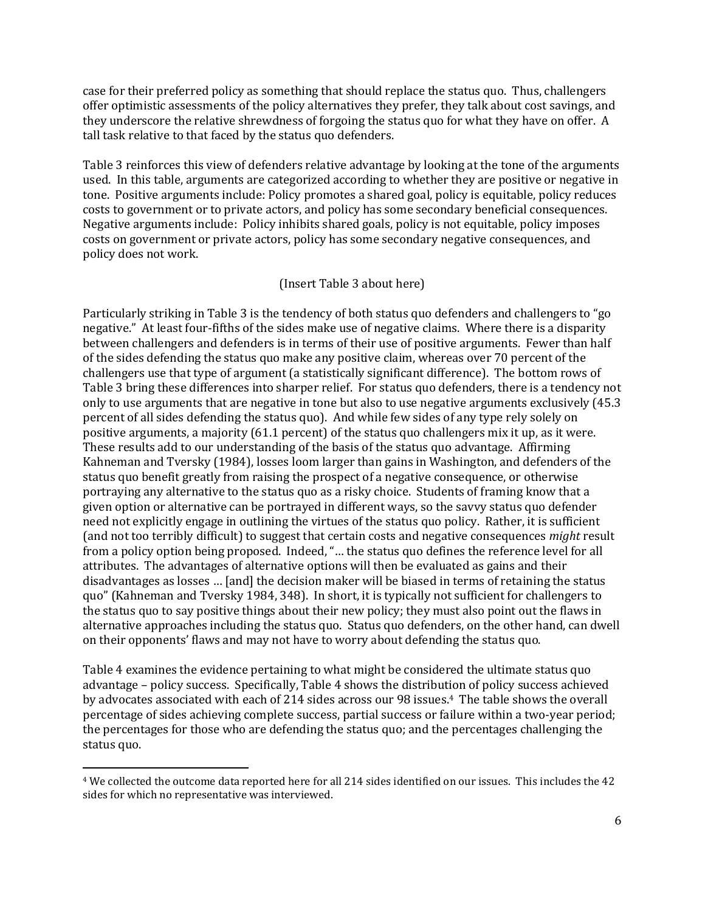case for their preferred policy as something that should replace the status quo. Thus, challengers offer optimistic assessments of the policy alternatives they prefer, they talk about cost savings, and they underscore the relative shrewdness of forgoing the status quo for what they have on offer. A tall task relative to that faced by the status quo defenders.

Table 3 reinforces this view of defenders relative advantage by looking at the tone of the arguments used. In this table, arguments are categorized according to whether they are positive or negative in tone. Positive arguments include: Policy promotes a shared goal, policy is equitable, policy reduces costs to government or to private actors, and policy has some secondary beneficial consequences. Negative arguments include: Policy inhibits shared goals, policy is not equitable, policy imposes costs on government or private actors, policy has some secondary negative consequences, and policy does not work.

#### (Insert Table 3 about here)

Particularly striking in Table 3 is the tendency of both status quo defenders and challengers to "go negative." At least four-fifths of the sides make use of negative claims. Where there is a disparity between challengers and defenders is in terms of their use of positive arguments. Fewer than half of the sides defending the status quo make any positive claim, whereas over 70 percent of the challengers use that type of argument (a statistically significant difference). The bottom rows of Table 3 bring these differences into sharper relief. For status quo defenders, there is a tendency not only to use arguments that are negative in tone but also to use negative arguments exclusively (45.3 percent of all sides defending the status quo). And while few sides of any type rely solely on positive arguments, a majority (61.1 percent) of the status quo challengers mix it up, as it were. These results add to our understanding of the basis of the status quo advantage. Affirming Kahneman and Tversky (1984), losses loom larger than gains in Washington, and defenders of the status quo benefit greatly from raising the prospect of a negative consequence, or otherwise portraying any alternative to the status quo as a risky choice. Students of framing know that a given option or alternative can be portrayed in different ways, so the savvy status quo defender need not explicitly engage in outlining the virtues of the status quo policy. Rather, it is sufficient (and not too terribly difficult) to suggest that certain costs and negative consequences *might* result from a policy option being proposed. Indeed, "… the status quo defines the reference level for all attributes. The advantages of alternative options will then be evaluated as gains and their disadvantages as losses … [and] the decision maker will be biased in terms of retaining the status quo" (Kahneman and Tversky 1984, 348). In short, it is typically not sufficient for challengers to the status quo to say positive things about their new policy; they must also point out the flaws in alternative approaches including the status quo. Status quo defenders, on the other hand, can dwell on their opponents' flaws and may not have to worry about defending the status quo.

Table 4 examines the evidence pertaining to what might be considered the ultimate status quo advantage – policy success. Specifically, Table 4 shows the distribution of policy success achieved by advocates associated with each of 214 sides across our 98 issues.4 The table shows the overall percentage of sides achieving complete success, partial success or failure within a two-year period; the percentages for those who are defending the status quo; and the percentages challenging the status quo.

 $\overline{a}$ 

<sup>4</sup> We collected the outcome data reported here for all 214 sides identified on our issues. This includes the 42 sides for which no representative was interviewed.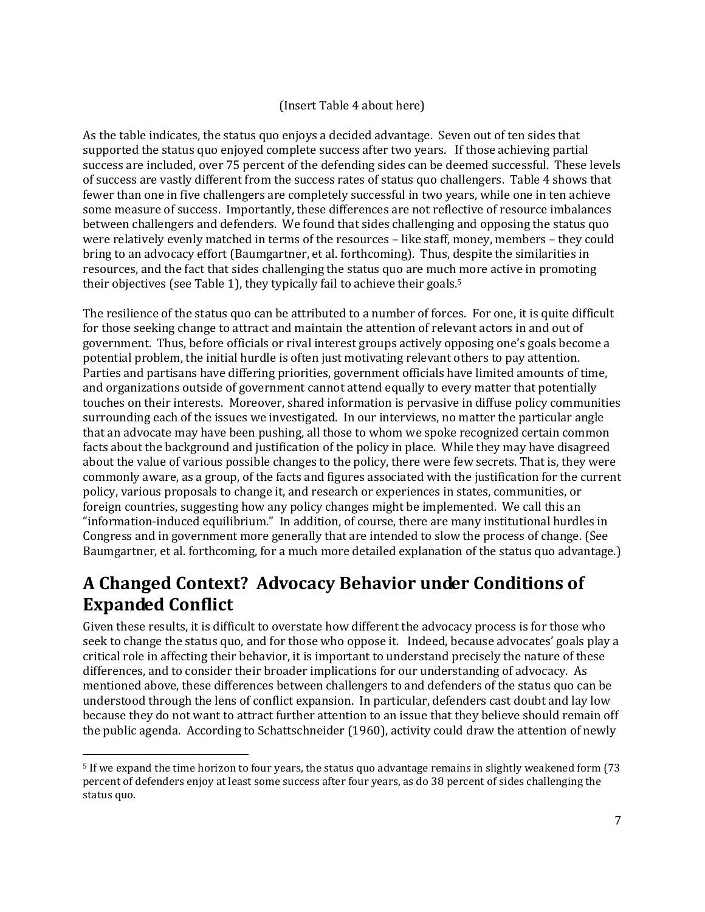### (Insert Table 4 about here)

As the table indicates, the status quo enjoys a decided advantage. Seven out of ten sides that supported the status quo enjoyed complete success after two years. If those achieving partial success are included, over 75 percent of the defending sides can be deemed successful. These levels of success are vastly different from the success rates of status quo challengers. Table 4 shows that fewer than one in five challengers are completely successful in two years, while one in ten achieve some measure of success. Importantly, these differences are not reflective of resource imbalances between challengers and defenders. We found that sides challenging and opposing the status quo were relatively evenly matched in terms of the resources – like staff, money, members – they could bring to an advocacy effort (Baumgartner, et al. forthcoming). Thus, despite the similarities in resources, and the fact that sides challenging the status quo are much more active in promoting their objectives (see Table 1), they typically fail to achieve their goals.<sup>5</sup>

The resilience of the status quo can be attributed to a number of forces. For one, it is quite difficult for those seeking change to attract and maintain the attention of relevant actors in and out of government. Thus, before officials or rival interest groups actively opposing one's goals become a potential problem, the initial hurdle is often just motivating relevant others to pay attention. Parties and partisans have differing priorities, government officials have limited amounts of time, and organizations outside of government cannot attend equally to every matter that potentially touches on their interests. Moreover, shared information is pervasive in diffuse policy communities surrounding each of the issues we investigated. In our interviews, no matter the particular angle that an advocate may have been pushing, all those to whom we spoke recognized certain common facts about the background and justification of the policy in place. While they may have disagreed about the value of various possible changes to the policy, there were few secrets. That is, they were commonly aware, as a group, of the facts and figures associated with the justification for the current policy, various proposals to change it, and research or experiences in states, communities, or foreign countries, suggesting how any policy changes might be implemented. We call this an "information-induced equilibrium." In addition, of course, there are many institutional hurdles in Congress and in government more generally that are intended to slow the process of change. (See Baumgartner, et al. forthcoming, for a much more detailed explanation of the status quo advantage.)

### **A Changed Context? Advocacy Behavior under Conditions of Expanded Conflict**

Given these results, it is difficult to overstate how different the advocacy process is for those who seek to change the status quo, and for those who oppose it. Indeed, because advocates' goals play a critical role in affecting their behavior, it is important to understand precisely the nature of these differences, and to consider their broader implications for our understanding of advocacy. As mentioned above, these differences between challengers to and defenders of the status quo can be understood through the lens of conflict expansion. In particular, defenders cast doubt and lay low because they do not want to attract further attention to an issue that they believe should remain off the public agenda. According to Schattschneider (1960), activity could draw the attention of newly

<sup>5</sup> If we expand the time horizon to four years, the status quo advantage remains in slightly weakened form (73 percent of defenders enjoy at least some success after four years, as do 38 percent of sides challenging the status quo.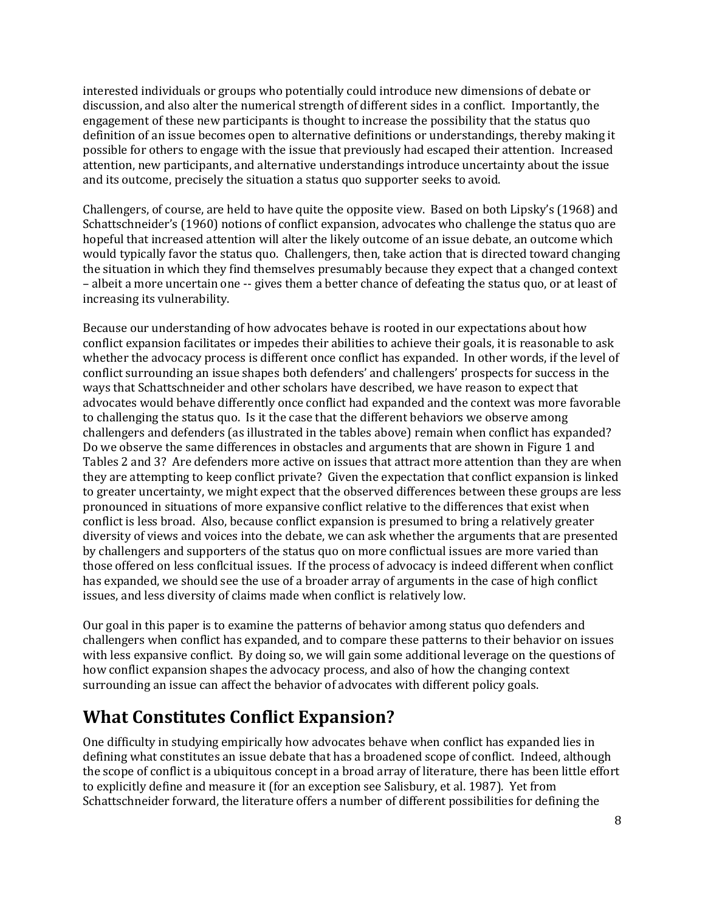interested individuals or groups who potentially could introduce new dimensions of debate or discussion, and also alter the numerical strength of different sides in a conflict. Importantly, the engagement of these new participants is thought to increase the possibility that the status quo definition of an issue becomes open to alternative definitions or understandings, thereby making it possible for others to engage with the issue that previously had escaped their attention. Increased attention, new participants, and alternative understandings introduce uncertainty about the issue and its outcome, precisely the situation a status quo supporter seeks to avoid.

Challengers, of course, are held to have quite the opposite view. Based on both Lipsky's (1968) and Schattschneider's (1960) notions of conflict expansion, advocates who challenge the status quo are hopeful that increased attention will alter the likely outcome of an issue debate, an outcome which would typically favor the status quo. Challengers, then, take action that is directed toward changing the situation in which they find themselves presumably because they expect that a changed context – albeit a more uncertain one -- gives them a better chance of defeating the status quo, or at least of increasing its vulnerability.

Because our understanding of how advocates behave is rooted in our expectations about how conflict expansion facilitates or impedes their abilities to achieve their goals, it is reasonable to ask whether the advocacy process is different once conflict has expanded. In other words, if the level of conflict surrounding an issue shapes both defenders' and challengers' prospects for success in the ways that Schattschneider and other scholars have described, we have reason to expect that advocates would behave differently once conflict had expanded and the context was more favorable to challenging the status quo. Is it the case that the different behaviors we observe among challengers and defenders (as illustrated in the tables above) remain when conflict has expanded? Do we observe the same differences in obstacles and arguments that are shown in Figure 1 and Tables 2 and 3? Are defenders more active on issues that attract more attention than they are when they are attempting to keep conflict private? Given the expectation that conflict expansion is linked to greater uncertainty, we might expect that the observed differences between these groups are less pronounced in situations of more expansive conflict relative to the differences that exist when conflict is less broad. Also, because conflict expansion is presumed to bring a relatively greater diversity of views and voices into the debate, we can ask whether the arguments that are presented by challengers and supporters of the status quo on more conflictual issues are more varied than those offered on less conflcitual issues. If the process of advocacy is indeed different when conflict has expanded, we should see the use of a broader array of arguments in the case of high conflict issues, and less diversity of claims made when conflict is relatively low.

Our goal in this paper is to examine the patterns of behavior among status quo defenders and challengers when conflict has expanded, and to compare these patterns to their behavior on issues with less expansive conflict. By doing so, we will gain some additional leverage on the questions of how conflict expansion shapes the advocacy process, and also of how the changing context surrounding an issue can affect the behavior of advocates with different policy goals.

# **What Constitutes Conflict Expansion?**

One difficulty in studying empirically how advocates behave when conflict has expanded lies in defining what constitutes an issue debate that has a broadened scope of conflict. Indeed, although the scope of conflict is a ubiquitous concept in a broad array of literature, there has been little effort to explicitly define and measure it (for an exception see Salisbury, et al. 1987). Yet from Schattschneider forward, the literature offers a number of different possibilities for defining the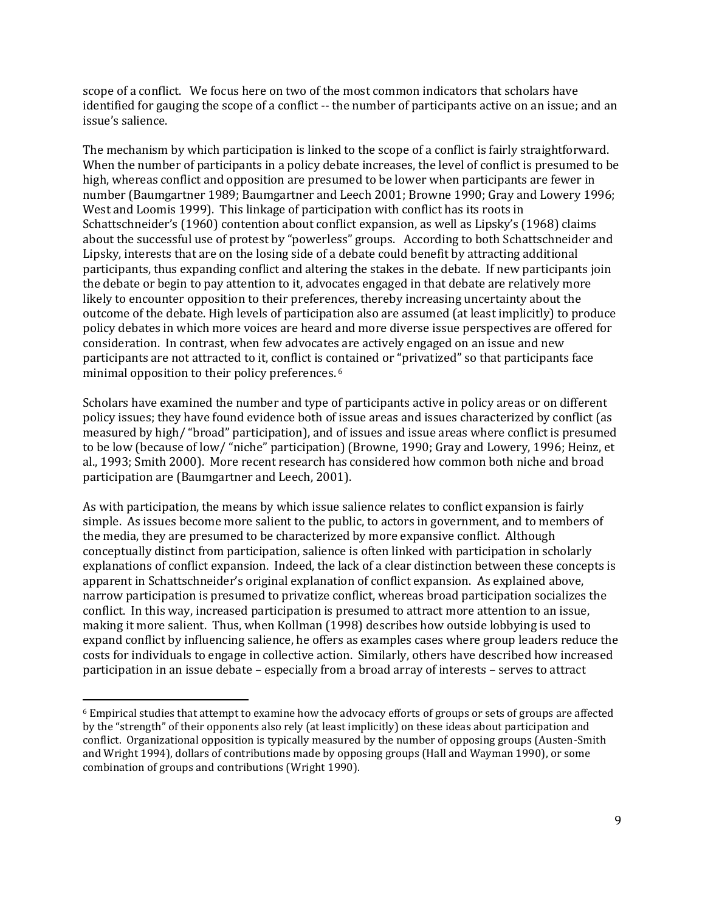scope of a conflict. We focus here on two of the most common indicators that scholars have identified for gauging the scope of a conflict -- the number of participants active on an issue; and an issue's salience.

The mechanism by which participation is linked to the scope of a conflict is fairly straightforward. When the number of participants in a policy debate increases, the level of conflict is presumed to be high, whereas conflict and opposition are presumed to be lower when participants are fewer in number (Baumgartner 1989; Baumgartner and Leech 2001; Browne 1990; Gray and Lowery 1996; West and Loomis 1999). This linkage of participation with conflict has its roots in Schattschneider's (1960) contention about conflict expansion, as well as Lipsky's (1968) claims about the successful use of protest by "powerless" groups. According to both Schattschneider and Lipsky, interests that are on the losing side of a debate could benefit by attracting additional participants, thus expanding conflict and altering the stakes in the debate. If new participants join the debate or begin to pay attention to it, advocates engaged in that debate are relatively more likely to encounter opposition to their preferences, thereby increasing uncertainty about the outcome of the debate. High levels of participation also are assumed (at least implicitly) to produce policy debates in which more voices are heard and more diverse issue perspectives are offered for consideration. In contrast, when few advocates are actively engaged on an issue and new participants are not attracted to it, conflict is contained or "privatized" so that participants face minimal opposition to their policy preferences. <sup>6</sup>

Scholars have examined the number and type of participants active in policy areas or on different policy issues; they have found evidence both of issue areas and issues characterized by conflict (as measured by high/ "broad" participation), and of issues and issue areas where conflict is presumed to be low (because of low/ "niche" participation) (Browne, 1990; Gray and Lowery, 1996; Heinz, et al., 1993; Smith 2000). More recent research has considered how common both niche and broad participation are (Baumgartner and Leech, 2001).

As with participation, the means by which issue salience relates to conflict expansion is fairly simple. As issues become more salient to the public, to actors in government, and to members of the media, they are presumed to be characterized by more expansive conflict. Although conceptually distinct from participation, salience is often linked with participation in scholarly explanations of conflict expansion. Indeed, the lack of a clear distinction between these concepts is apparent in Schattschneider's original explanation of conflict expansion. As explained above, narrow participation is presumed to privatize conflict, whereas broad participation socializes the conflict. In this way, increased participation is presumed to attract more attention to an issue, making it more salient. Thus, when Kollman (1998) describes how outside lobbying is used to expand conflict by influencing salience, he offers as examples cases where group leaders reduce the costs for individuals to engage in collective action. Similarly, others have described how increased participation in an issue debate – especially from a broad array of interests – serves to attract

 $\overline{a}$ 

<sup>6</sup> Empirical studies that attempt to examine how the advocacy efforts of groups or sets of groups are affected by the "strength" of their opponents also rely (at least implicitly) on these ideas about participation and conflict. Organizational opposition is typically measured by the number of opposing groups (Austen-Smith and Wright 1994), dollars of contributions made by opposing groups (Hall and Wayman 1990), or some combination of groups and contributions (Wright 1990).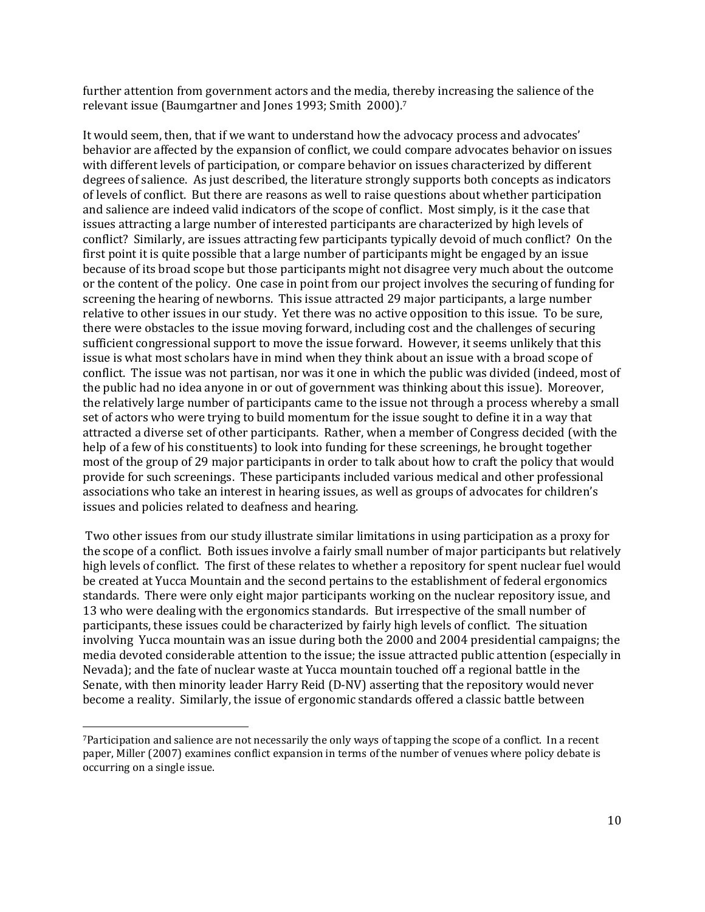further attention from government actors and the media, thereby increasing the salience of the relevant issue (Baumgartner and Jones 1993; Smith 2000).<sup>7</sup>

It would seem, then, that if we want to understand how the advocacy process and advocates' behavior are affected by the expansion of conflict, we could compare advocates behavior on issues with different levels of participation, or compare behavior on issues characterized by different degrees of salience. As just described, the literature strongly supports both concepts as indicators of levels of conflict. But there are reasons as well to raise questions about whether participation and salience are indeed valid indicators of the scope of conflict. Most simply, is it the case that issues attracting a large number of interested participants are characterized by high levels of conflict? Similarly, are issues attracting few participants typically devoid of much conflict? On the first point it is quite possible that a large number of participants might be engaged by an issue because of its broad scope but those participants might not disagree very much about the outcome or the content of the policy. One case in point from our project involves the securing of funding for screening the hearing of newborns. This issue attracted 29 major participants, a large number relative to other issues in our study. Yet there was no active opposition to this issue. To be sure, there were obstacles to the issue moving forward, including cost and the challenges of securing sufficient congressional support to move the issue forward. However, it seems unlikely that this issue is what most scholars have in mind when they think about an issue with a broad scope of conflict. The issue was not partisan, nor was it one in which the public was divided (indeed, most of the public had no idea anyone in or out of government was thinking about this issue). Moreover, the relatively large number of participants came to the issue not through a process whereby a small set of actors who were trying to build momentum for the issue sought to define it in a way that attracted a diverse set of other participants. Rather, when a member of Congress decided (with the help of a few of his constituents) to look into funding for these screenings, he brought together most of the group of 29 major participants in order to talk about how to craft the policy that would provide for such screenings. These participants included various medical and other professional associations who take an interest in hearing issues, as well as groups of advocates for children's issues and policies related to deafness and hearing.

Two other issues from our study illustrate similar limitations in using participation as a proxy for the scope of a conflict. Both issues involve a fairly small number of major participants but relatively high levels of conflict. The first of these relates to whether a repository for spent nuclear fuel would be created at Yucca Mountain and the second pertains to the establishment of federal ergonomics standards. There were only eight major participants working on the nuclear repository issue, and 13 who were dealing with the ergonomics standards. But irrespective of the small number of participants, these issues could be characterized by fairly high levels of conflict. The situation involving Yucca mountain was an issue during both the 2000 and 2004 presidential campaigns; the media devoted considerable attention to the issue; the issue attracted public attention (especially in Nevada); and the fate of nuclear waste at Yucca mountain touched off a regional battle in the Senate, with then minority leader Harry Reid (D-NV) asserting that the repository would never become a reality. Similarly, the issue of ergonomic standards offered a classic battle between

<sup>7</sup>Participation and salience are not necessarily the only ways of tapping the scope of a conflict. In a recent paper, Miller (2007) examines conflict expansion in terms of the number of venues where policy debate is occurring on a single issue.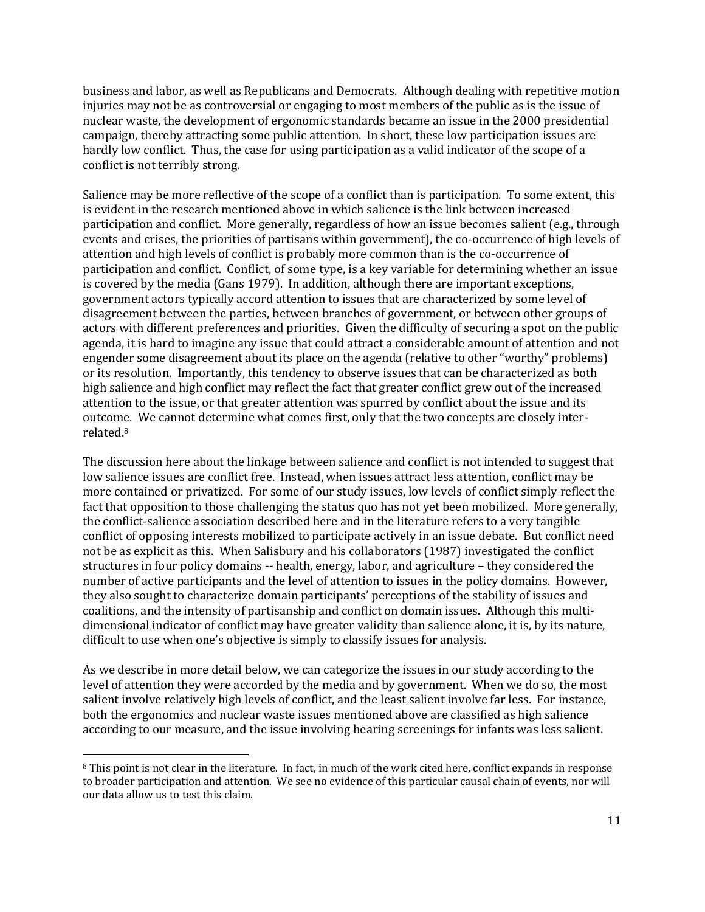business and labor, as well as Republicans and Democrats. Although dealing with repetitive motion injuries may not be as controversial or engaging to most members of the public as is the issue of nuclear waste, the development of ergonomic standards became an issue in the 2000 presidential campaign, thereby attracting some public attention. In short, these low participation issues are hardly low conflict. Thus, the case for using participation as a valid indicator of the scope of a conflict is not terribly strong.

Salience may be more reflective of the scope of a conflict than is participation. To some extent, this is evident in the research mentioned above in which salience is the link between increased participation and conflict. More generally, regardless of how an issue becomes salient (e.g., through events and crises, the priorities of partisans within government), the co-occurrence of high levels of attention and high levels of conflict is probably more common than is the co-occurrence of participation and conflict. Conflict, of some type, is a key variable for determining whether an issue is covered by the media (Gans 1979). In addition, although there are important exceptions, government actors typically accord attention to issues that are characterized by some level of disagreement between the parties, between branches of government, or between other groups of actors with different preferences and priorities. Given the difficulty of securing a spot on the public agenda, it is hard to imagine any issue that could attract a considerable amount of attention and not engender some disagreement about its place on the agenda (relative to other "worthy" problems) or its resolution. Importantly, this tendency to observe issues that can be characterized as both high salience and high conflict may reflect the fact that greater conflict grew out of the increased attention to the issue, or that greater attention was spurred by conflict about the issue and its outcome. We cannot determine what comes first, only that the two concepts are closely interrelated.<sup>8</sup>

The discussion here about the linkage between salience and conflict is not intended to suggest that low salience issues are conflict free. Instead, when issues attract less attention, conflict may be more contained or privatized. For some of our study issues, low levels of conflict simply reflect the fact that opposition to those challenging the status quo has not yet been mobilized. More generally, the conflict-salience association described here and in the literature refers to a very tangible conflict of opposing interests mobilized to participate actively in an issue debate. But conflict need not be as explicit as this. When Salisbury and his collaborators (1987) investigated the conflict structures in four policy domains -- health, energy, labor, and agriculture – they considered the number of active participants and the level of attention to issues in the policy domains. However, they also sought to characterize domain participants' perceptions of the stability of issues and coalitions, and the intensity of partisanship and conflict on domain issues. Although this multidimensional indicator of conflict may have greater validity than salience alone, it is, by its nature, difficult to use when one's objective is simply to classify issues for analysis.

As we describe in more detail below, we can categorize the issues in our study according to the level of attention they were accorded by the media and by government. When we do so, the most salient involve relatively high levels of conflict, and the least salient involve far less. For instance, both the ergonomics and nuclear waste issues mentioned above are classified as high salience according to our measure, and the issue involving hearing screenings for infants was less salient.

<sup>&</sup>lt;sup>8</sup> This point is not clear in the literature. In fact, in much of the work cited here, conflict expands in response to broader participation and attention. We see no evidence of this particular causal chain of events, nor will our data allow us to test this claim.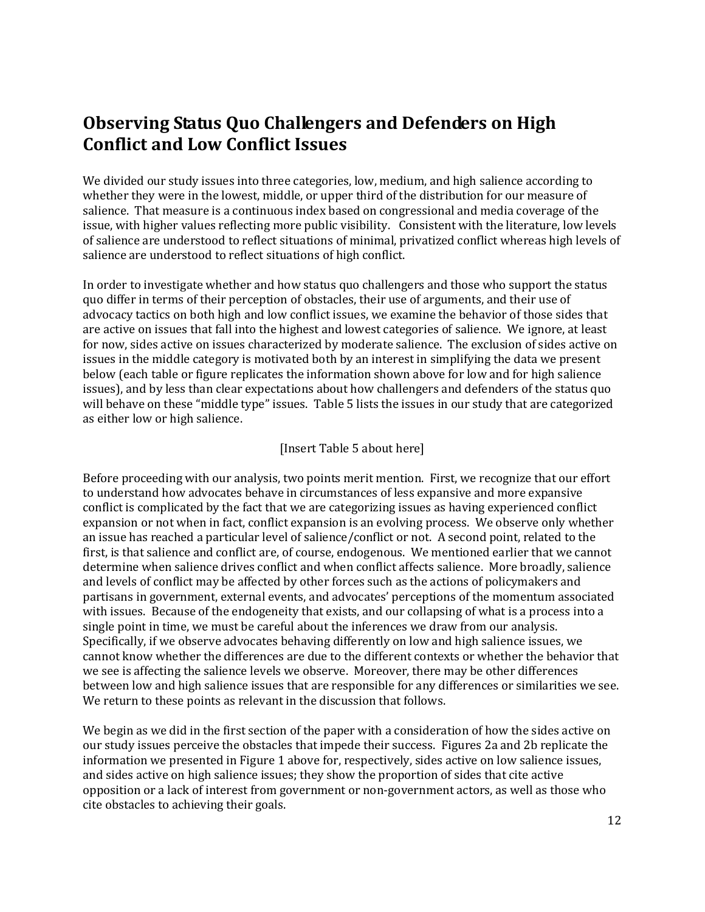### **Observing Status Quo Challengers and Defenders on High Conflict and Low Conflict Issues**

We divided our study issues into three categories, low, medium, and high salience according to whether they were in the lowest, middle, or upper third of the distribution for our measure of salience. That measure is a continuous index based on congressional and media coverage of the issue, with higher values reflecting more public visibility. Consistent with the literature, low levels of salience are understood to reflect situations of minimal, privatized conflict whereas high levels of salience are understood to reflect situations of high conflict.

In order to investigate whether and how status quo challengers and those who support the status quo differ in terms of their perception of obstacles, their use of arguments, and their use of advocacy tactics on both high and low conflict issues, we examine the behavior of those sides that are active on issues that fall into the highest and lowest categories of salience. We ignore, at least for now, sides active on issues characterized by moderate salience. The exclusion of sides active on issues in the middle category is motivated both by an interest in simplifying the data we present below (each table or figure replicates the information shown above for low and for high salience issues), and by less than clear expectations about how challengers and defenders of the status quo will behave on these "middle type" issues. Table 5 lists the issues in our study that are categorized as either low or high salience.

#### [Insert Table 5 about here]

Before proceeding with our analysis, two points merit mention. First, we recognize that our effort to understand how advocates behave in circumstances of less expansive and more expansive conflict is complicated by the fact that we are categorizing issues as having experienced conflict expansion or not when in fact, conflict expansion is an evolving process. We observe only whether an issue has reached a particular level of salience/conflict or not. A second point, related to the first, is that salience and conflict are, of course, endogenous. We mentioned earlier that we cannot determine when salience drives conflict and when conflict affects salience. More broadly, salience and levels of conflict may be affected by other forces such as the actions of policymakers and partisans in government, external events, and advocates' perceptions of the momentum associated with issues. Because of the endogeneity that exists, and our collapsing of what is a process into a single point in time, we must be careful about the inferences we draw from our analysis. Specifically, if we observe advocates behaving differently on low and high salience issues, we cannot know whether the differences are due to the different contexts or whether the behavior that we see is affecting the salience levels we observe. Moreover, there may be other differences between low and high salience issues that are responsible for any differences or similarities we see. We return to these points as relevant in the discussion that follows.

We begin as we did in the first section of the paper with a consideration of how the sides active on our study issues perceive the obstacles that impede their success. Figures 2a and 2b replicate the information we presented in Figure 1 above for, respectively, sides active on low salience issues, and sides active on high salience issues; they show the proportion of sides that cite active opposition or a lack of interest from government or non-government actors, as well as those who cite obstacles to achieving their goals.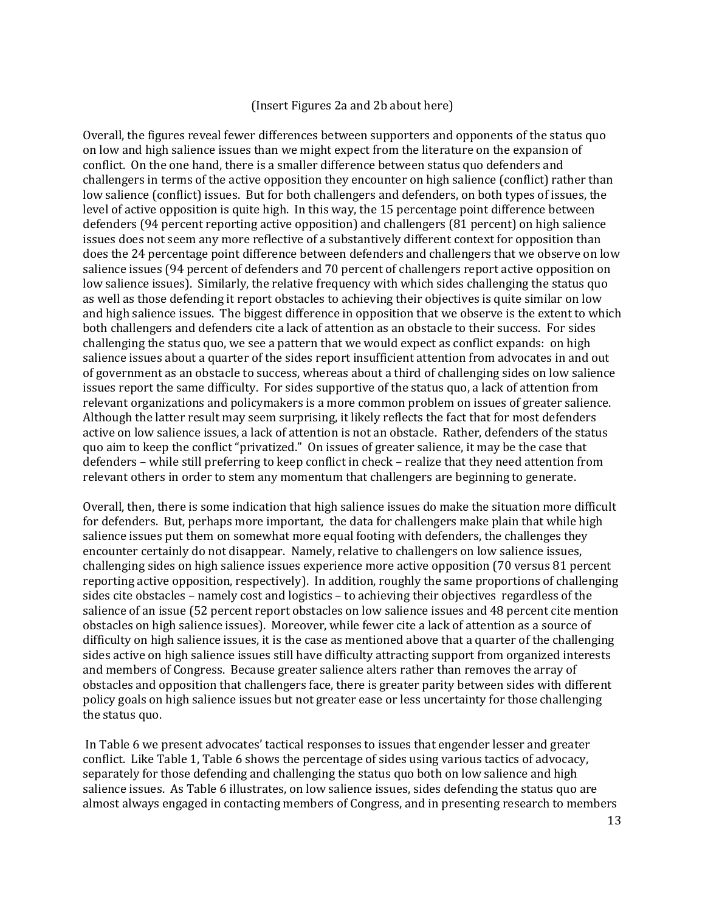#### (Insert Figures 2a and 2b about here)

Overall, the figures reveal fewer differences between supporters and opponents of the status quo on low and high salience issues than we might expect from the literature on the expansion of conflict. On the one hand, there is a smaller difference between status quo defenders and challengers in terms of the active opposition they encounter on high salience (conflict) rather than low salience (conflict) issues. But for both challengers and defenders, on both types of issues, the level of active opposition is quite high. In this way, the 15 percentage point difference between defenders (94 percent reporting active opposition) and challengers (81 percent) on high salience issues does not seem any more reflective of a substantively different context for opposition than does the 24 percentage point difference between defenders and challengers that we observe on low salience issues (94 percent of defenders and 70 percent of challengers report active opposition on low salience issues). Similarly, the relative frequency with which sides challenging the status quo as well as those defending it report obstacles to achieving their objectives is quite similar on low and high salience issues. The biggest difference in opposition that we observe is the extent to which both challengers and defenders cite a lack of attention as an obstacle to their success. For sides challenging the status quo, we see a pattern that we would expect as conflict expands: on high salience issues about a quarter of the sides report insufficient attention from advocates in and out of government as an obstacle to success, whereas about a third of challenging sides on low salience issues report the same difficulty. For sides supportive of the status quo, a lack of attention from relevant organizations and policymakers is a more common problem on issues of greater salience. Although the latter result may seem surprising, it likely reflects the fact that for most defenders active on low salience issues, a lack of attention is not an obstacle. Rather, defenders of the status quo aim to keep the conflict "privatized." On issues of greater salience, it may be the case that defenders – while still preferring to keep conflict in check – realize that they need attention from relevant others in order to stem any momentum that challengers are beginning to generate.

Overall, then, there is some indication that high salience issues do make the situation more difficult for defenders. But, perhaps more important, the data for challengers make plain that while high salience issues put them on somewhat more equal footing with defenders, the challenges they encounter certainly do not disappear. Namely, relative to challengers on low salience issues, challenging sides on high salience issues experience more active opposition (70 versus 81 percent reporting active opposition, respectively). In addition, roughly the same proportions of challenging sides cite obstacles – namely cost and logistics – to achieving their objectives regardless of the salience of an issue (52 percent report obstacles on low salience issues and 48 percent cite mention obstacles on high salience issues). Moreover, while fewer cite a lack of attention as a source of difficulty on high salience issues, it is the case as mentioned above that a quarter of the challenging sides active on high salience issues still have difficulty attracting support from organized interests and members of Congress. Because greater salience alters rather than removes the array of obstacles and opposition that challengers face, there is greater parity between sides with different policy goals on high salience issues but not greater ease or less uncertainty for those challenging the status quo.

In Table 6 we present advocates' tactical responses to issues that engender lesser and greater conflict. Like Table 1, Table 6 shows the percentage of sides using various tactics of advocacy, separately for those defending and challenging the status quo both on low salience and high salience issues. As Table 6 illustrates, on low salience issues, sides defending the status quo are almost always engaged in contacting members of Congress, and in presenting research to members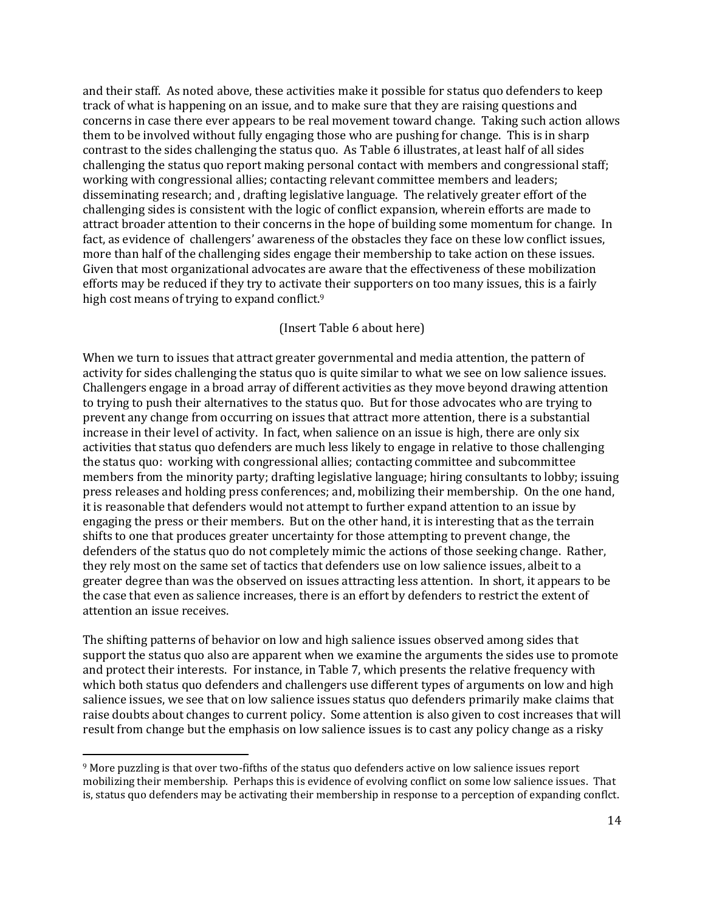and their staff. As noted above, these activities make it possible for status quo defenders to keep track of what is happening on an issue, and to make sure that they are raising questions and concerns in case there ever appears to be real movement toward change. Taking such action allows them to be involved without fully engaging those who are pushing for change. This is in sharp contrast to the sides challenging the status quo. As Table 6 illustrates, at least half of all sides challenging the status quo report making personal contact with members and congressional staff; working with congressional allies; contacting relevant committee members and leaders; disseminating research; and , drafting legislative language. The relatively greater effort of the challenging sides is consistent with the logic of conflict expansion, wherein efforts are made to attract broader attention to their concerns in the hope of building some momentum for change. In fact, as evidence of challengers' awareness of the obstacles they face on these low conflict issues, more than half of the challenging sides engage their membership to take action on these issues. Given that most organizational advocates are aware that the effectiveness of these mobilization efforts may be reduced if they try to activate their supporters on too many issues, this is a fairly high cost means of trying to expand conflict.<sup>9</sup>

#### (Insert Table 6 about here)

When we turn to issues that attract greater governmental and media attention, the pattern of activity for sides challenging the status quo is quite similar to what we see on low salience issues. Challengers engage in a broad array of different activities as they move beyond drawing attention to trying to push their alternatives to the status quo. But for those advocates who are trying to prevent any change from occurring on issues that attract more attention, there is a substantial increase in their level of activity. In fact, when salience on an issue is high, there are only six activities that status quo defenders are much less likely to engage in relative to those challenging the status quo: working with congressional allies; contacting committee and subcommittee members from the minority party; drafting legislative language; hiring consultants to lobby; issuing press releases and holding press conferences; and, mobilizing their membership. On the one hand, it is reasonable that defenders would not attempt to further expand attention to an issue by engaging the press or their members. But on the other hand, it is interesting that as the terrain shifts to one that produces greater uncertainty for those attempting to prevent change, the defenders of the status quo do not completely mimic the actions of those seeking change. Rather, they rely most on the same set of tactics that defenders use on low salience issues, albeit to a greater degree than was the observed on issues attracting less attention. In short, it appears to be the case that even as salience increases, there is an effort by defenders to restrict the extent of attention an issue receives.

The shifting patterns of behavior on low and high salience issues observed among sides that support the status quo also are apparent when we examine the arguments the sides use to promote and protect their interests. For instance, in Table 7, which presents the relative frequency with which both status quo defenders and challengers use different types of arguments on low and high salience issues, we see that on low salience issues status quo defenders primarily make claims that raise doubts about changes to current policy. Some attention is also given to cost increases that will result from change but the emphasis on low salience issues is to cast any policy change as a risky

<sup>9</sup> More puzzling is that over two-fifths of the status quo defenders active on low salience issues report mobilizing their membership. Perhaps this is evidence of evolving conflict on some low salience issues. That is, status quo defenders may be activating their membership in response to a perception of expanding conflct.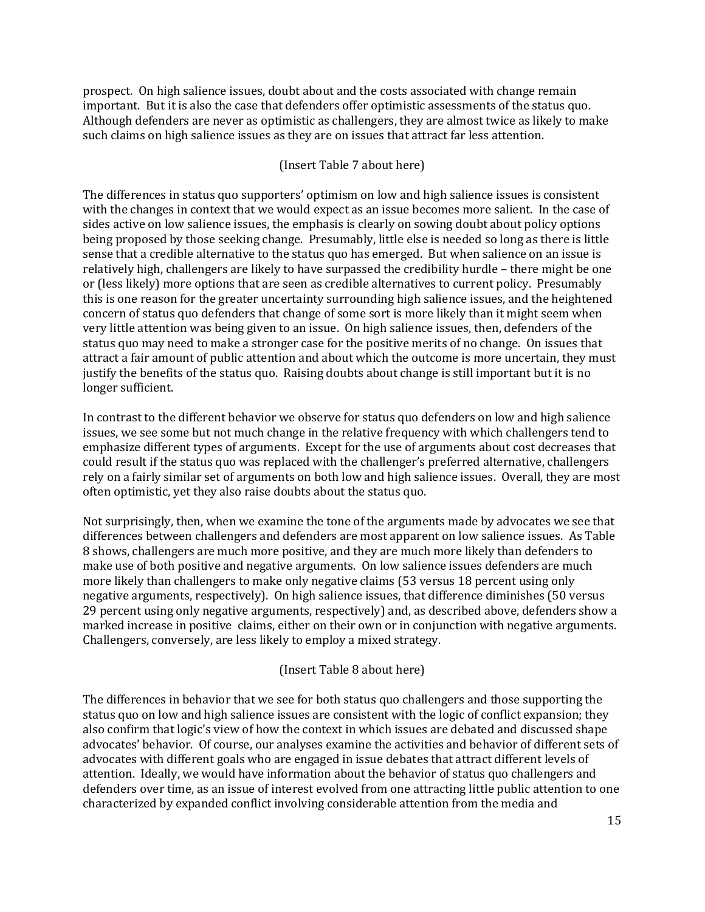prospect. On high salience issues, doubt about and the costs associated with change remain important. But it is also the case that defenders offer optimistic assessments of the status quo. Although defenders are never as optimistic as challengers, they are almost twice as likely to make such claims on high salience issues as they are on issues that attract far less attention.

### (Insert Table 7 about here)

The differences in status quo supporters' optimism on low and high salience issues is consistent with the changes in context that we would expect as an issue becomes more salient. In the case of sides active on low salience issues, the emphasis is clearly on sowing doubt about policy options being proposed by those seeking change. Presumably, little else is needed so long as there is little sense that a credible alternative to the status quo has emerged. But when salience on an issue is relatively high, challengers are likely to have surpassed the credibility hurdle – there might be one or (less likely) more options that are seen as credible alternatives to current policy. Presumably this is one reason for the greater uncertainty surrounding high salience issues, and the heightened concern of status quo defenders that change of some sort is more likely than it might seem when very little attention was being given to an issue. On high salience issues, then, defenders of the status quo may need to make a stronger case for the positive merits of no change. On issues that attract a fair amount of public attention and about which the outcome is more uncertain, they must justify the benefits of the status quo. Raising doubts about change is still important but it is no longer sufficient.

In contrast to the different behavior we observe for status quo defenders on low and high salience issues, we see some but not much change in the relative frequency with which challengers tend to emphasize different types of arguments. Except for the use of arguments about cost decreases that could result if the status quo was replaced with the challenger's preferred alternative, challengers rely on a fairly similar set of arguments on both low and high salience issues. Overall, they are most often optimistic, yet they also raise doubts about the status quo.

Not surprisingly, then, when we examine the tone of the arguments made by advocates we see that differences between challengers and defenders are most apparent on low salience issues. As Table 8 shows, challengers are much more positive, and they are much more likely than defenders to make use of both positive and negative arguments. On low salience issues defenders are much more likely than challengers to make only negative claims (53 versus 18 percent using only negative arguments, respectively). On high salience issues, that difference diminishes (50 versus 29 percent using only negative arguments, respectively) and, as described above, defenders show a marked increase in positive claims, either on their own or in conjunction with negative arguments. Challengers, conversely, are less likely to employ a mixed strategy.

### (Insert Table 8 about here)

The differences in behavior that we see for both status quo challengers and those supporting the status quo on low and high salience issues are consistent with the logic of conflict expansion; they also confirm that logic's view of how the context in which issues are debated and discussed shape advocates' behavior. Of course, our analyses examine the activities and behavior of different sets of advocates with different goals who are engaged in issue debates that attract different levels of attention. Ideally, we would have information about the behavior of status quo challengers and defenders over time, as an issue of interest evolved from one attracting little public attention to one characterized by expanded conflict involving considerable attention from the media and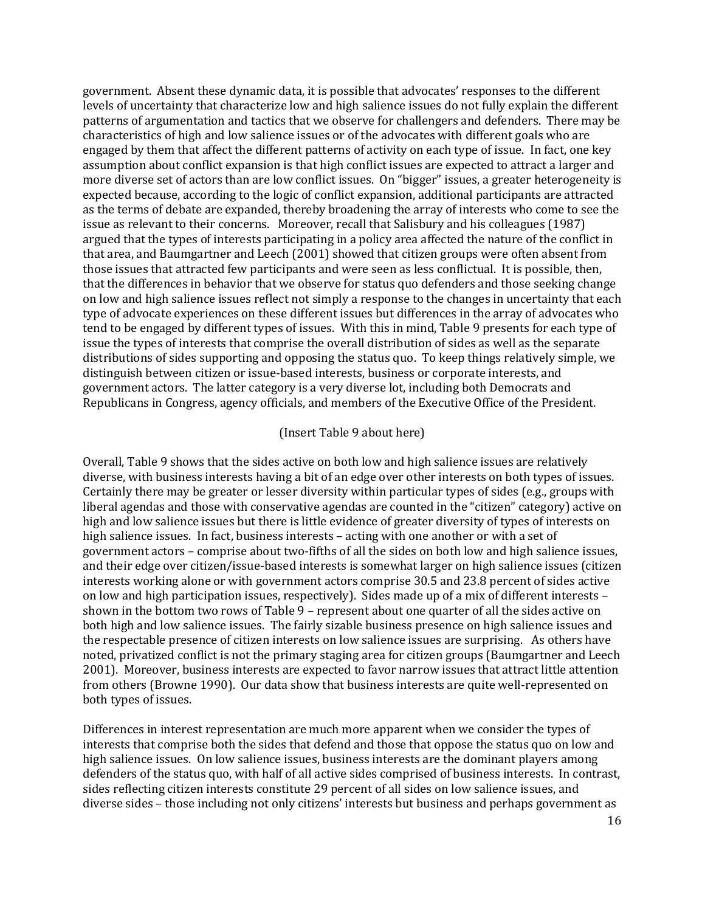government. Absent these dynamic data, it is possible that advocates' responses to the different levels of uncertainty that characterize low and high salience issues do not fully explain the different patterns of argumentation and tactics that we observe for challengers and defenders. There may be characteristics of high and low salience issues or of the advocates with different goals who are engaged by them that affect the different patterns of activity on each type of issue. In fact, one key assumption about conflict expansion is that high conflict issues are expected to attract a larger and more diverse set of actors than are low conflict issues. On "bigger" issues, a greater heterogeneity is expected because, according to the logic of conflict expansion, additional participants are attracted as the terms of debate are expanded, thereby broadening the array of interests who come to see the issue as relevant to their concerns. Moreover, recall that Salisbury and his colleagues (1987) argued that the types of interests participating in a policy area affected the nature of the conflict in that area, and Baumgartner and Leech (2001) showed that citizen groups were often absent from those issues that attracted few participants and were seen as less conflictual. It is possible, then, that the differences in behavior that we observe for status quo defenders and those seeking change on low and high salience issues reflect not simply a response to the changes in uncertainty that each type of advocate experiences on these different issues but differences in the array of advocates who tend to be engaged by different types of issues. With this in mind, Table 9 presents for each type of issue the types of interests that comprise the overall distribution of sides as well as the separate distributions of sides supporting and opposing the status quo. To keep things relatively simple, we distinguish between citizen or issue-based interests, business or corporate interests, and government actors. The latter category is a very diverse lot, including both Democrats and Republicans in Congress, agency officials, and members of the Executive Office of the President.

#### (Insert Table 9 about here)

Overall, Table 9 shows that the sides active on both low and high salience issues are relatively diverse, with business interests having a bit of an edge over other interests on both types of issues. Certainly there may be greater or lesser diversity within particular types of sides (e.g., groups with liberal agendas and those with conservative agendas are counted in the "citizen" category) active on high and low salience issues but there is little evidence of greater diversity of types of interests on high salience issues. In fact, business interests – acting with one another or with a set of government actors – comprise about two-fifths of all the sides on both low and high salience issues, and their edge over citizen/issue-based interests is somewhat larger on high salience issues (citizen interests working alone or with government actors comprise 30.5 and 23.8 percent of sides active on low and high participation issues, respectively). Sides made up of a mix of different interests – shown in the bottom two rows of Table 9 – represent about one quarter of all the sides active on both high and low salience issues. The fairly sizable business presence on high salience issues and the respectable presence of citizen interests on low salience issues are surprising. As others have noted, privatized conflict is not the primary staging area for citizen groups (Baumgartner and Leech 2001). Moreover, business interests are expected to favor narrow issues that attract little attention from others (Browne 1990). Our data show that business interests are quite well-represented on both types of issues.

Differences in interest representation are much more apparent when we consider the types of interests that comprise both the sides that defend and those that oppose the status quo on low and high salience issues. On low salience issues, business interests are the dominant players among defenders of the status quo, with half of all active sides comprised of business interests. In contrast, sides reflecting citizen interests constitute 29 percent of all sides on low salience issues, and diverse sides – those including not only citizens' interests but business and perhaps government as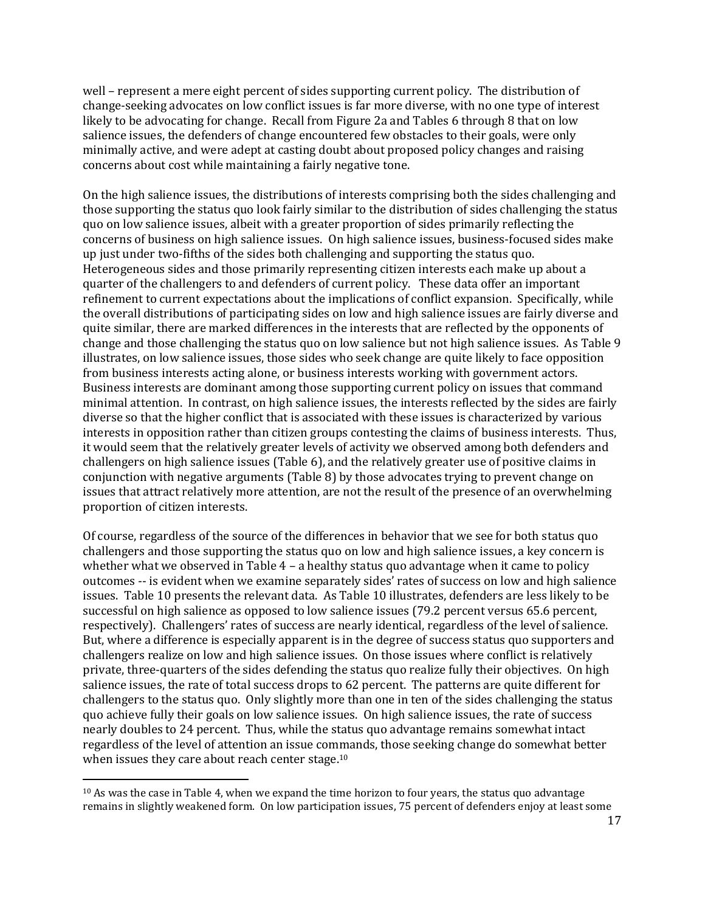well – represent a mere eight percent of sides supporting current policy. The distribution of change-seeking advocates on low conflict issues is far more diverse, with no one type of interest likely to be advocating for change. Recall from Figure 2a and Tables 6 through 8 that on low salience issues, the defenders of change encountered few obstacles to their goals, were only minimally active, and were adept at casting doubt about proposed policy changes and raising concerns about cost while maintaining a fairly negative tone.

On the high salience issues, the distributions of interests comprising both the sides challenging and those supporting the status quo look fairly similar to the distribution of sides challenging the status quo on low salience issues, albeit with a greater proportion of sides primarily reflecting the concerns of business on high salience issues. On high salience issues, business-focused sides make up just under two-fifths of the sides both challenging and supporting the status quo. Heterogeneous sides and those primarily representing citizen interests each make up about a quarter of the challengers to and defenders of current policy. These data offer an important refinement to current expectations about the implications of conflict expansion. Specifically, while the overall distributions of participating sides on low and high salience issues are fairly diverse and quite similar, there are marked differences in the interests that are reflected by the opponents of change and those challenging the status quo on low salience but not high salience issues. As Table 9 illustrates, on low salience issues, those sides who seek change are quite likely to face opposition from business interests acting alone, or business interests working with government actors. Business interests are dominant among those supporting current policy on issues that command minimal attention. In contrast, on high salience issues, the interests reflected by the sides are fairly diverse so that the higher conflict that is associated with these issues is characterized by various interests in opposition rather than citizen groups contesting the claims of business interests. Thus, it would seem that the relatively greater levels of activity we observed among both defenders and challengers on high salience issues (Table 6), and the relatively greater use of positive claims in conjunction with negative arguments (Table 8) by those advocates trying to prevent change on issues that attract relatively more attention, are not the result of the presence of an overwhelming proportion of citizen interests.

Of course, regardless of the source of the differences in behavior that we see for both status quo challengers and those supporting the status quo on low and high salience issues, a key concern is whether what we observed in Table 4 – a healthy status quo advantage when it came to policy outcomes -- is evident when we examine separately sides' rates of success on low and high salience issues. Table 10 presents the relevant data. As Table 10 illustrates, defenders are less likely to be successful on high salience as opposed to low salience issues (79.2 percent versus 65.6 percent, respectively). Challengers' rates of success are nearly identical, regardless of the level of salience. But, where a difference is especially apparent is in the degree of success status quo supporters and challengers realize on low and high salience issues. On those issues where conflict is relatively private, three-quarters of the sides defending the status quo realize fully their objectives. On high salience issues, the rate of total success drops to 62 percent. The patterns are quite different for challengers to the status quo. Only slightly more than one in ten of the sides challenging the status quo achieve fully their goals on low salience issues. On high salience issues, the rate of success nearly doubles to 24 percent. Thus, while the status quo advantage remains somewhat intact regardless of the level of attention an issue commands, those seeking change do somewhat better when issues they care about reach center stage.<sup>10</sup>

 $10$  As was the case in Table 4, when we expand the time horizon to four years, the status quo advantage remains in slightly weakened form. On low participation issues, 75 percent of defenders enjoy at least some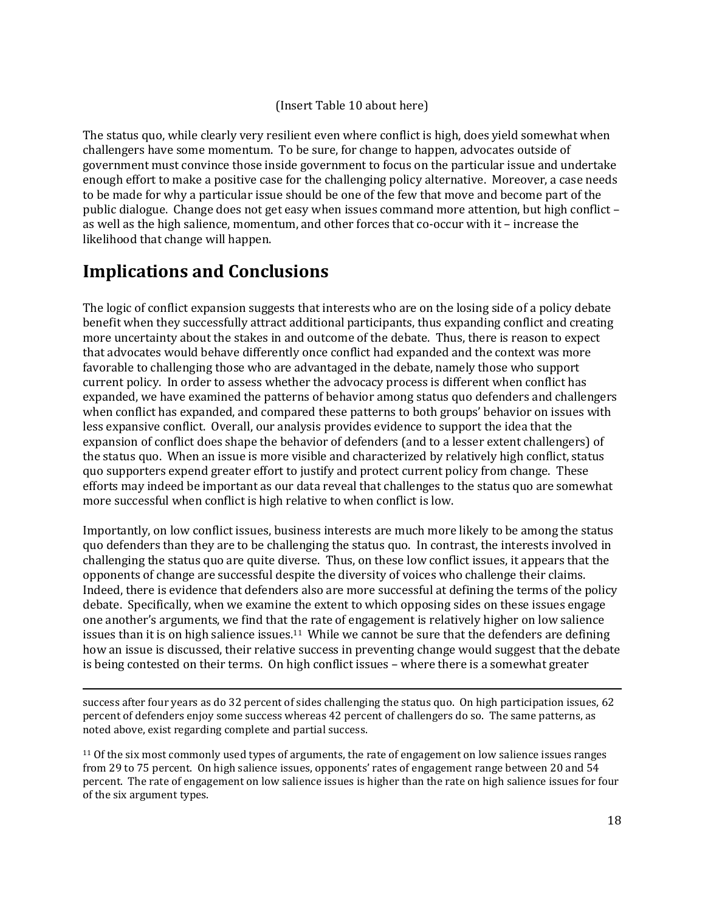### (Insert Table 10 about here)

The status quo, while clearly very resilient even where conflict is high, does yield somewhat when challengers have some momentum. To be sure, for change to happen, advocates outside of government must convince those inside government to focus on the particular issue and undertake enough effort to make a positive case for the challenging policy alternative. Moreover, a case needs to be made for why a particular issue should be one of the few that move and become part of the public dialogue. Change does not get easy when issues command more attention, but high conflict – as well as the high salience, momentum, and other forces that co-occur with it – increase the likelihood that change will happen.

## **Implications and Conclusions**

 $\overline{a}$ 

The logic of conflict expansion suggests that interests who are on the losing side of a policy debate benefit when they successfully attract additional participants, thus expanding conflict and creating more uncertainty about the stakes in and outcome of the debate. Thus, there is reason to expect that advocates would behave differently once conflict had expanded and the context was more favorable to challenging those who are advantaged in the debate, namely those who support current policy. In order to assess whether the advocacy process is different when conflict has expanded, we have examined the patterns of behavior among status quo defenders and challengers when conflict has expanded, and compared these patterns to both groups' behavior on issues with less expansive conflict. Overall, our analysis provides evidence to support the idea that the expansion of conflict does shape the behavior of defenders (and to a lesser extent challengers) of the status quo. When an issue is more visible and characterized by relatively high conflict, status quo supporters expend greater effort to justify and protect current policy from change. These efforts may indeed be important as our data reveal that challenges to the status quo are somewhat more successful when conflict is high relative to when conflict is low.

Importantly, on low conflict issues, business interests are much more likely to be among the status quo defenders than they are to be challenging the status quo. In contrast, the interests involved in challenging the status quo are quite diverse. Thus, on these low conflict issues, it appears that the opponents of change are successful despite the diversity of voices who challenge their claims. Indeed, there is evidence that defenders also are more successful at defining the terms of the policy debate. Specifically, when we examine the extent to which opposing sides on these issues engage one another's arguments, we find that the rate of engagement is relatively higher on low salience issues than it is on high salience issues.<sup>11</sup> While we cannot be sure that the defenders are defining how an issue is discussed, their relative success in preventing change would suggest that the debate is being contested on their terms. On high conflict issues – where there is a somewhat greater

success after four years as do 32 percent of sides challenging the status quo. On high participation issues, 62 percent of defenders enjoy some success whereas 42 percent of challengers do so. The same patterns, as noted above, exist regarding complete and partial success.

<sup>11</sup> Of the six most commonly used types of arguments, the rate of engagement on low salience issues ranges from 29 to 75 percent. On high salience issues, opponents' rates of engagement range between 20 and 54 percent. The rate of engagement on low salience issues is higher than the rate on high salience issues for four of the six argument types.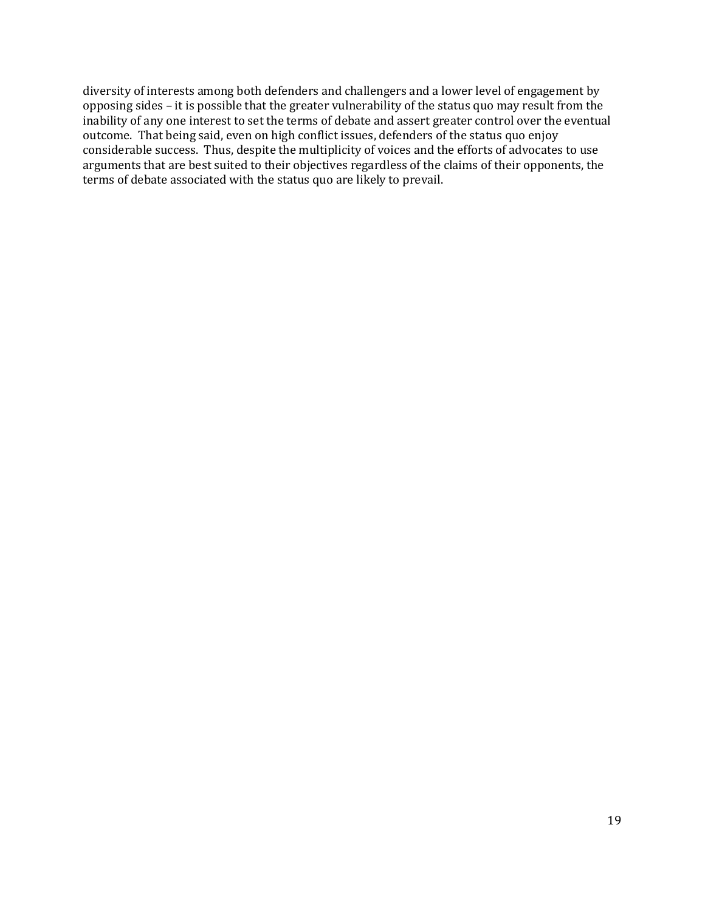diversity of interests among both defenders and challengers and a lower level of engagement by opposing sides – it is possible that the greater vulnerability of the status quo may result from the inability of any one interest to set the terms of debate and assert greater control over the eventual outcome. That being said, even on high conflict issues, defenders of the status quo enjoy considerable success. Thus, despite the multiplicity of voices and the efforts of advocates to use arguments that are best suited to their objectives regardless of the claims of their opponents, the terms of debate associated with the status quo are likely to prevail.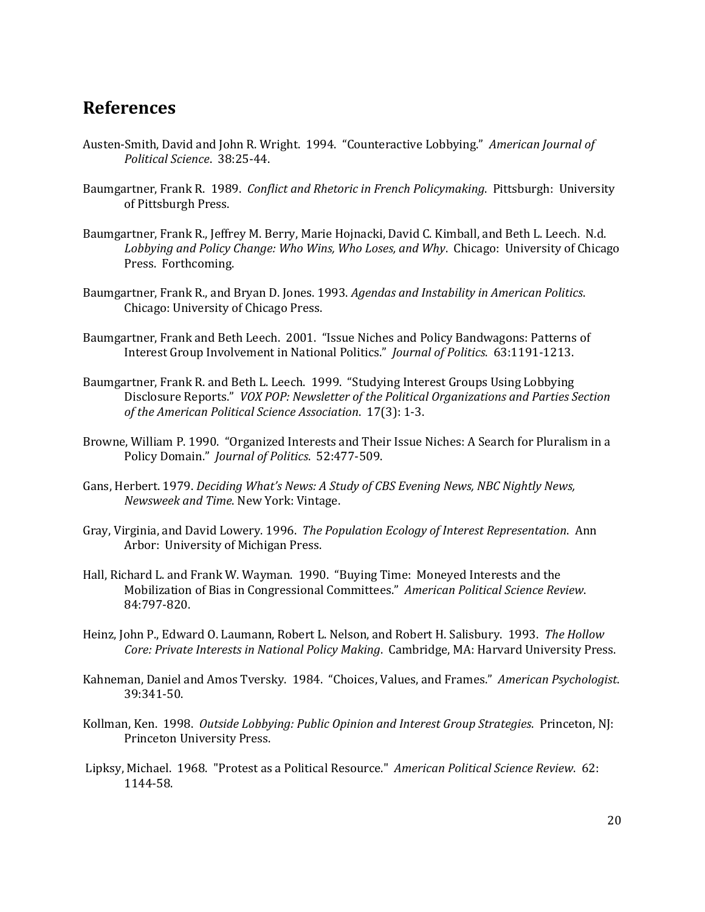### **References**

- Austen-Smith, David and John R. Wright. 1994. "Counteractive Lobbying." *American Journal of Political Science*. 38:25-44.
- Baumgartner, Frank R. 1989. *Conflict and Rhetoric in French Policymaking*. Pittsburgh: University of Pittsburgh Press.
- Baumgartner, Frank R., Jeffrey M. Berry, Marie Hojnacki, David C. Kimball, and Beth L. Leech. N.d. *Lobbying and Policy Change: Who Wins, Who Loses, and Why*. Chicago: University of Chicago Press. Forthcoming.
- Baumgartner, Frank R., and Bryan D. Jones. 1993. *Agendas and Instability in American Politics*. Chicago: University of Chicago Press.
- Baumgartner, Frank and Beth Leech. 2001. "Issue Niches and Policy Bandwagons: Patterns of Interest Group Involvement in National Politics." *Journal of Politics*. 63:1191-1213.
- Baumgartner, Frank R. and Beth L. Leech. 1999. "Studying Interest Groups Using Lobbying Disclosure Reports." *VOX POP: Newsletter of the Political Organizations and Parties Section of the American Political Science Association*. 17(3): 1-3.
- Browne, William P. 1990. "Organized Interests and Their Issue Niches: A Search for Pluralism in a Policy Domain." *Journal of Politics*. 52:477-509.
- Gans, Herbert. 1979. *Deciding What's News: A Study of CBS Evening News, NBC Nightly News, Newsweek and Time*. New York: Vintage.
- Gray, Virginia, and David Lowery. 1996. *The Population Ecology of Interest Representation*. Ann Arbor: University of Michigan Press.
- Hall, Richard L. and Frank W. Wayman. 1990. "Buying Time: Moneyed Interests and the Mobilization of Bias in Congressional Committees." *American Political Science Review*. 84:797-820.
- Heinz, John P., Edward O. Laumann, Robert L. Nelson, and Robert H. Salisbury. 1993. *The Hollow Core: Private Interests in National Policy Making*. Cambridge, MA: Harvard University Press.
- Kahneman, Daniel and Amos Tversky. 1984. "Choices, Values, and Frames." *American Psychologist*. 39:341-50.
- Kollman, Ken. 1998. *Outside Lobbying: Public Opinion and Interest Group Strategies*. Princeton, NJ: Princeton University Press.
- Lipksy, Michael. 1968. "Protest as a Political Resource." *American Political Science Review*. 62: 1144-58.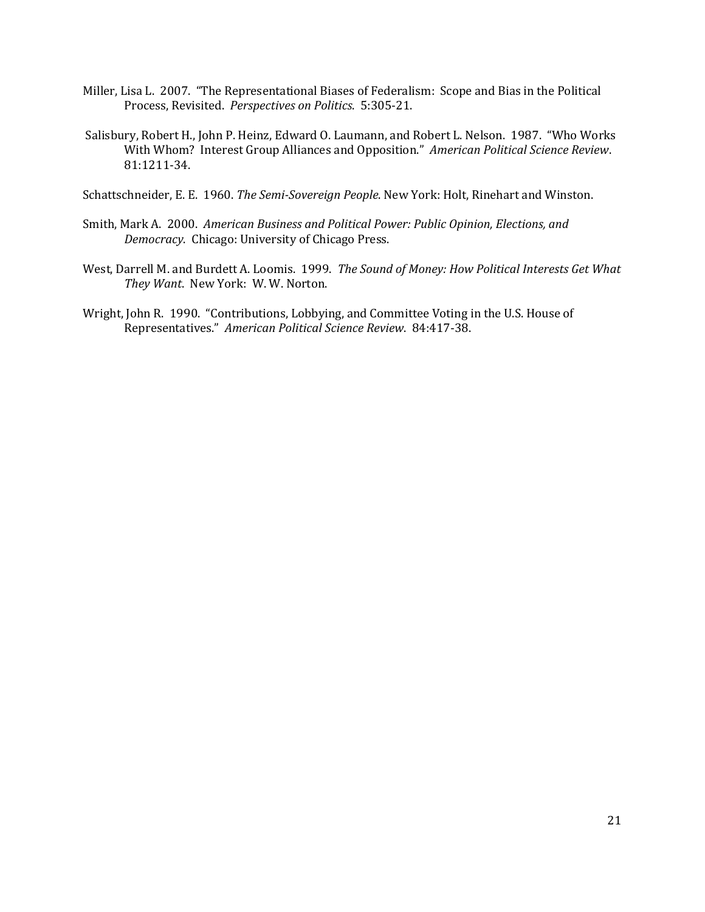- Miller, Lisa L. 2007. "The Representational Biases of Federalism: Scope and Bias in the Political Process, Revisited. *Perspectives on Politics*. 5:305-21.
- Salisbury, Robert H., John P. Heinz, Edward O. Laumann, and Robert L. Nelson. 1987. "Who Works With Whom? Interest Group Alliances and Opposition." *American Political Science Review*. 81:1211-34.

Schattschneider, E. E. 1960. *The Semi-Sovereign People*. New York: Holt, Rinehart and Winston.

- Smith, Mark A. 2000. *American Business and Political Power: Public Opinion, Elections, and Democracy*. Chicago: University of Chicago Press.
- West, Darrell M. and Burdett A. Loomis. 1999. *The Sound of Money: How Political Interests Get What They Want*. New York: W. W. Norton.
- Wright, John R. 1990. "Contributions, Lobbying, and Committee Voting in the U.S. House of Representatives." *American Political Science Review*. 84:417-38.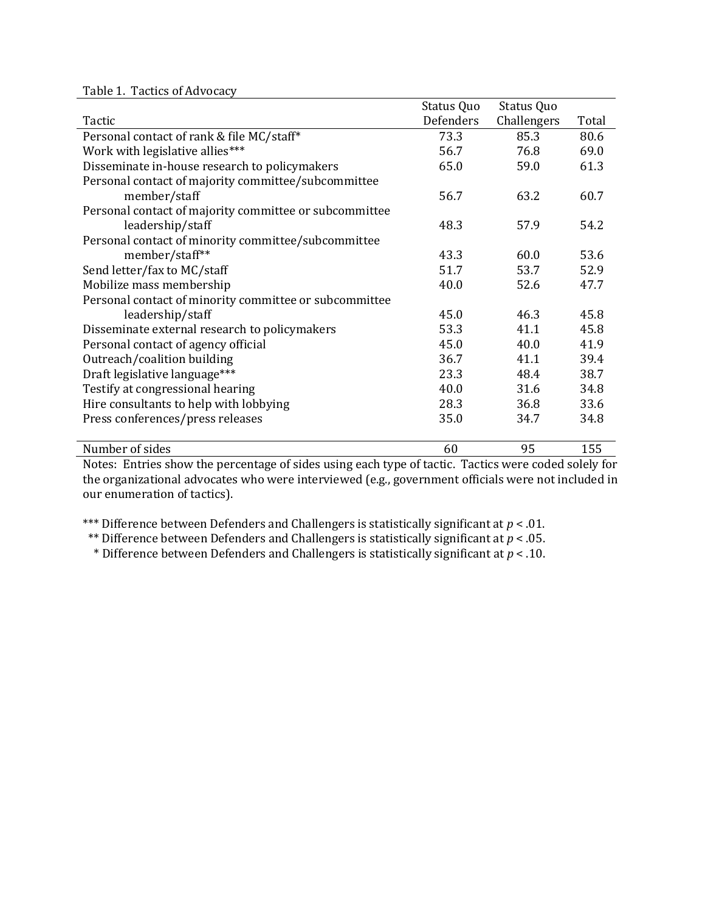Table 1. Tactics of Advocacy

|                                                        | Status Quo | Status Quo  |       |
|--------------------------------------------------------|------------|-------------|-------|
| Tactic                                                 | Defenders  | Challengers | Total |
| Personal contact of rank & file MC/staff*              | 73.3       | 85.3        | 80.6  |
| Work with legislative allies***                        | 56.7       | 76.8        | 69.0  |
| Disseminate in-house research to policymakers          | 65.0       | 59.0        | 61.3  |
| Personal contact of majority committee/subcommittee    |            |             |       |
| member/staff                                           | 56.7       | 63.2        | 60.7  |
| Personal contact of majority committee or subcommittee |            |             |       |
| leadership/staff                                       | 48.3       | 57.9        | 54.2  |
| Personal contact of minority committee/subcommittee    |            |             |       |
| member/staff**                                         | 43.3       | 60.0        | 53.6  |
| Send letter/fax to MC/staff                            | 51.7       | 53.7        | 52.9  |
| Mobilize mass membership                               | 40.0       | 52.6        | 47.7  |
| Personal contact of minority committee or subcommittee |            |             |       |
| leadership/staff                                       | 45.0       | 46.3        | 45.8  |
| Disseminate external research to policymakers          | 53.3       | 41.1        | 45.8  |
| Personal contact of agency official                    | 45.0       | 40.0        | 41.9  |
| Outreach/coalition building                            | 36.7       | 41.1        | 39.4  |
| Draft legislative language***                          | 23.3       | 48.4        | 38.7  |
| Testify at congressional hearing                       | 40.0       | 31.6        | 34.8  |
| Hire consultants to help with lobbying                 | 28.3       | 36.8        | 33.6  |
| Press conferences/press releases                       | 35.0       | 34.7        | 34.8  |
|                                                        |            |             |       |
| Number of sides                                        | 60         | 95          | 155   |

Notes: Entries show the percentage of sides using each type of tactic. Tactics were coded solely for the organizational advocates who were interviewed (e.g., government officials were not included in our enumeration of tactics).

\*\*\* Difference between Defenders and Challengers is statistically significant at *p* < .01.

\*\* Difference between Defenders and Challengers is statistically significant at *p* < .05.

\* Difference between Defenders and Challengers is statistically significant at *p* < .10.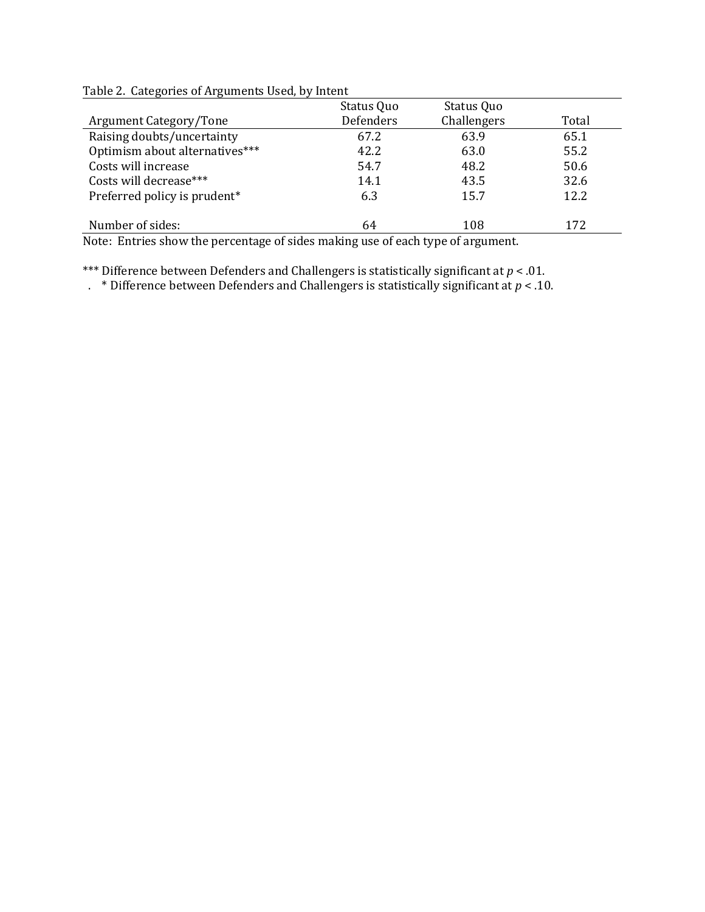| Status Quo | Status Quo  |                                                                               |
|------------|-------------|-------------------------------------------------------------------------------|
| Defenders  | Challengers | Total                                                                         |
| 67.2       | 63.9        | 65.1                                                                          |
| 42.2       | 63.0        | 55.2                                                                          |
| 54.7       | 48.2        | 50.6                                                                          |
| 14.1       | 43.5        | 32.6                                                                          |
| 6.3        | 15.7        | 12.2                                                                          |
| 64         | 108         | 172                                                                           |
|            |             | Note: Entrica show the negastage of sides maling use of each time of evayment |

Table 2. Categories of Arguments Used, by Intent

Note: Entries show the percentage of sides making use of each type of argument.

\*\*\* Difference between Defenders and Challengers is statistically significant at *p* < .01.

. \* Difference between Defenders and Challengers is statistically significant at *p* < .10.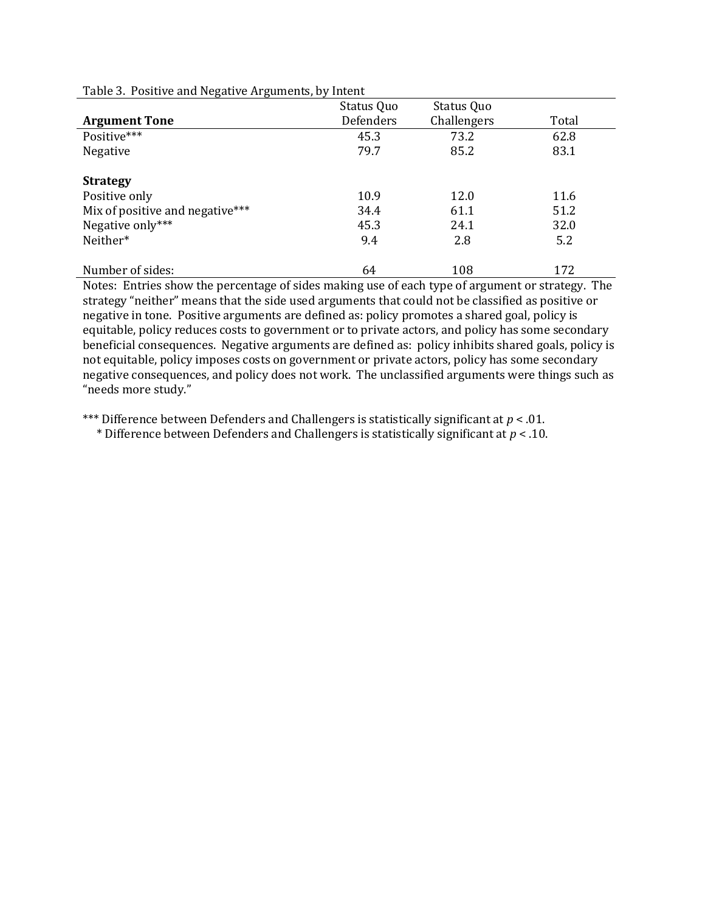| . .<br>ີ                        |            |             |       |
|---------------------------------|------------|-------------|-------|
|                                 | Status Quo | Status Quo  |       |
| <b>Argument Tone</b>            | Defenders  | Challengers | Total |
| Positive***                     | 45.3       | 73.2        | 62.8  |
| Negative                        | 79.7       | 85.2        | 83.1  |
|                                 |            |             |       |
| <b>Strategy</b>                 |            |             |       |
| Positive only                   | 10.9       | 12.0        | 11.6  |
| Mix of positive and negative*** | 34.4       | 61.1        | 51.2  |
| Negative only***                | 45.3       | 24.1        | 32.0  |
| Neither*                        | 9.4        | 2.8         | 5.2   |
|                                 |            |             |       |
| Number of sides:                | 64         | 108         | 172   |

Table 3. Positive and Negative Arguments, by Intent

Notes: Entries show the percentage of sides making use of each type of argument or strategy. The strategy "neither" means that the side used arguments that could not be classified as positive or negative in tone. Positive arguments are defined as: policy promotes a shared goal, policy is equitable, policy reduces costs to government or to private actors, and policy has some secondary beneficial consequences. Negative arguments are defined as: policy inhibits shared goals, policy is not equitable, policy imposes costs on government or private actors, policy has some secondary negative consequences, and policy does not work. The unclassified arguments were things such as "needs more study."

\*\*\* Difference between Defenders and Challengers is statistically significant at *p* < .01.

\* Difference between Defenders and Challengers is statistically significant at *p* < .10.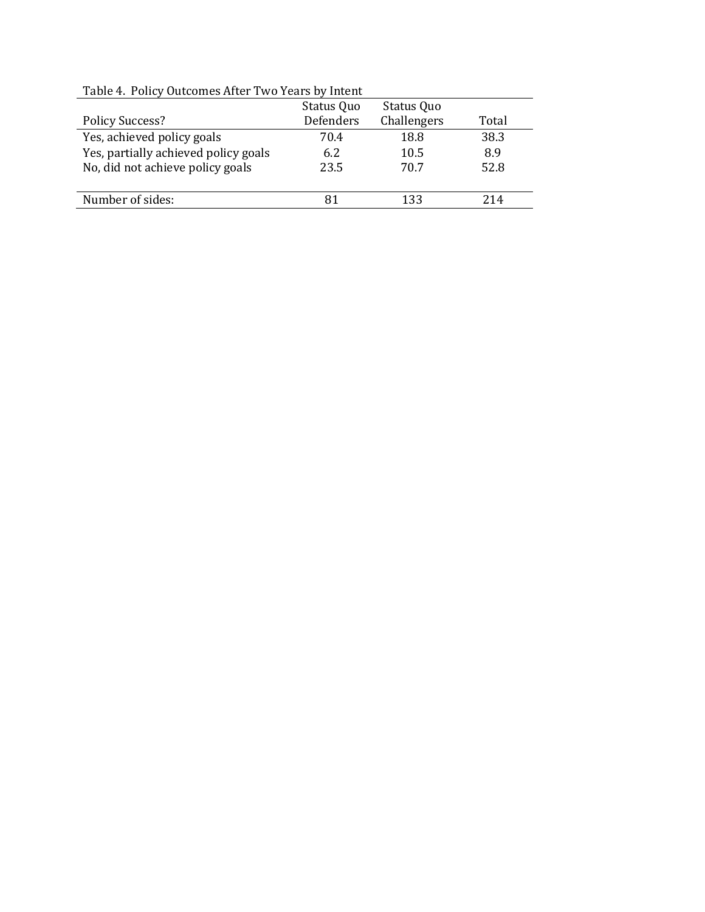| 10010 11 1 0110   0000011100 111001 1 110 10010 0   11100110 |            |             |       |  |  |
|--------------------------------------------------------------|------------|-------------|-------|--|--|
|                                                              | Status Quo | Status Quo  |       |  |  |
| <b>Policy Success?</b>                                       | Defenders  | Challengers | Total |  |  |
| Yes, achieved policy goals                                   | 70.4       | 18.8        | 38.3  |  |  |
| Yes, partially achieved policy goals                         | 6.2        | 10.5        | 8.9   |  |  |
| No, did not achieve policy goals                             | 23.5       | 70.7        | 52.8  |  |  |
|                                                              |            |             |       |  |  |
| Number of sides:                                             |            | 133         | 214   |  |  |
|                                                              |            |             |       |  |  |

Table 4. Policy Outcomes After Two Years by Intent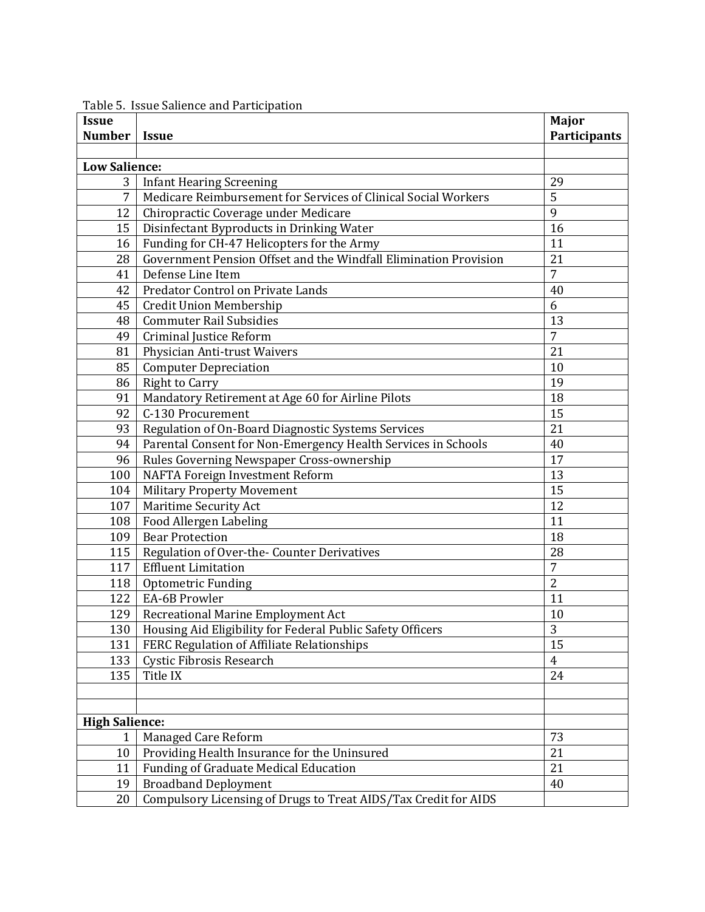| <b>Issue</b>          |                                                                  | Major               |
|-----------------------|------------------------------------------------------------------|---------------------|
| <b>Number</b>         | <i><b>Issue</b></i>                                              | <b>Participants</b> |
|                       |                                                                  |                     |
| <b>Low Salience:</b>  |                                                                  |                     |
| 3                     | <b>Infant Hearing Screening</b>                                  | 29                  |
| 7                     | Medicare Reimbursement for Services of Clinical Social Workers   | 5                   |
| 12                    | Chiropractic Coverage under Medicare                             | 9                   |
| 15                    | Disinfectant Byproducts in Drinking Water                        | 16                  |
| 16                    | Funding for CH-47 Helicopters for the Army                       | 11                  |
| 28                    | Government Pension Offset and the Windfall Elimination Provision | 21                  |
| 41                    | Defense Line Item                                                | $\overline{7}$      |
| 42                    | Predator Control on Private Lands                                | 40                  |
| 45                    | Credit Union Membership                                          | 6                   |
| 48                    | <b>Commuter Rail Subsidies</b>                                   | 13                  |
| 49                    | Criminal Justice Reform                                          | $\overline{7}$      |
| 81                    | Physician Anti-trust Waivers                                     | 21                  |
| 85                    | <b>Computer Depreciation</b>                                     | 10                  |
| 86                    | <b>Right to Carry</b>                                            | 19                  |
| 91                    | Mandatory Retirement at Age 60 for Airline Pilots                | 18                  |
| 92                    | C-130 Procurement                                                | 15                  |
| 93                    | Regulation of On-Board Diagnostic Systems Services               | 21                  |
| 94                    | Parental Consent for Non-Emergency Health Services in Schools    | 40                  |
| 96                    | Rules Governing Newspaper Cross-ownership                        | 17                  |
| 100                   | <b>NAFTA Foreign Investment Reform</b>                           | 13                  |
| 104                   | <b>Military Property Movement</b>                                | 15                  |
| 107                   | Maritime Security Act                                            | 12                  |
| 108                   | Food Allergen Labeling                                           | 11                  |
| 109                   | <b>Bear Protection</b>                                           | 18                  |
| 115                   | Regulation of Over-the- Counter Derivatives                      | 28                  |
| 117                   | <b>Effluent Limitation</b>                                       | $\overline{7}$      |
| 118                   | <b>Optometric Funding</b>                                        | $\overline{2}$      |
| 122                   | EA-6B Prowler                                                    | 11                  |
| 129                   | Recreational Marine Employment Act                               | 10                  |
| 130                   | Housing Aid Eligibility for Federal Public Safety Officers       | 3                   |
| 131                   | FERC Regulation of Affiliate Relationships                       | 15                  |
| 133                   | Cystic Fibrosis Research                                         | $\overline{4}$      |
| 135                   | Title IX                                                         | 24                  |
|                       |                                                                  |                     |
|                       |                                                                  |                     |
| <b>High Salience:</b> |                                                                  |                     |
| 1                     | Managed Care Reform                                              | 73                  |
| 10                    | Providing Health Insurance for the Uninsured                     | 21                  |
| 11                    | Funding of Graduate Medical Education                            | 21                  |
| 19                    | <b>Broadband Deployment</b>                                      | 40                  |
| 20                    | Compulsory Licensing of Drugs to Treat AIDS/Tax Credit for AIDS  |                     |

Table 5. Issue Salience and Participation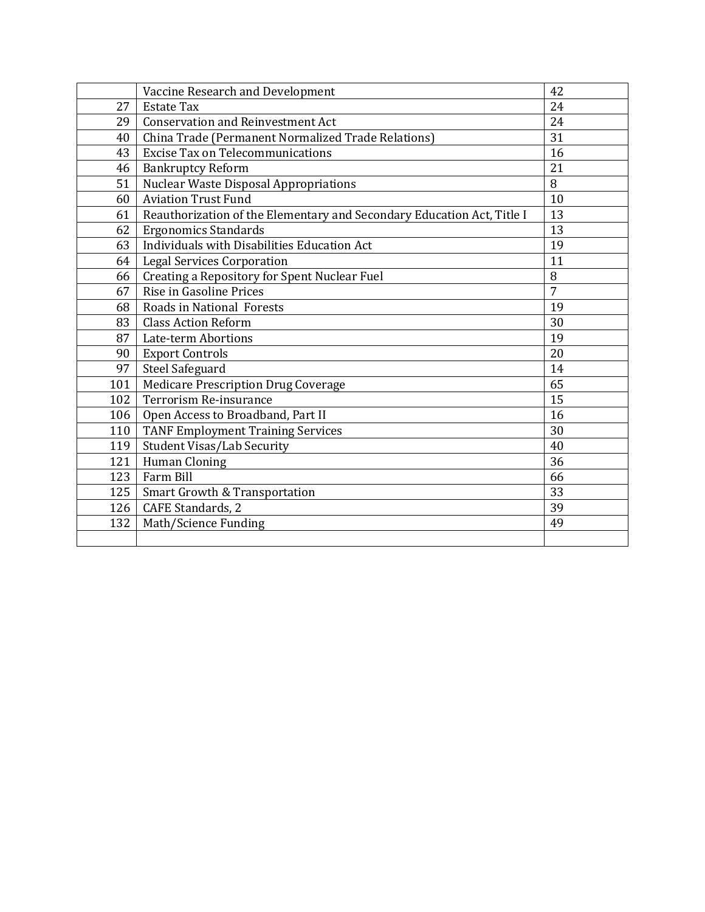|     | Vaccine Research and Development                                       | 42             |
|-----|------------------------------------------------------------------------|----------------|
| 27  | <b>Estate Tax</b>                                                      | 24             |
| 29  | <b>Conservation and Reinvestment Act</b>                               | 24             |
| 40  | China Trade (Permanent Normalized Trade Relations)                     | 31             |
| 43  | <b>Excise Tax on Telecommunications</b>                                | 16             |
| 46  | <b>Bankruptcy Reform</b>                                               | 21             |
| 51  | Nuclear Waste Disposal Appropriations                                  | 8              |
| 60  | <b>Aviation Trust Fund</b>                                             | 10             |
| 61  | Reauthorization of the Elementary and Secondary Education Act, Title I | 13             |
| 62  | <b>Ergonomics Standards</b>                                            | 13             |
| 63  | Individuals with Disabilities Education Act                            | 19             |
| 64  | <b>Legal Services Corporation</b>                                      | 11             |
| 66  | Creating a Repository for Spent Nuclear Fuel                           | 8              |
| 67  | Rise in Gasoline Prices                                                | $\overline{7}$ |
| 68  | Roads in National Forests                                              | 19             |
| 83  | <b>Class Action Reform</b>                                             | 30             |
| 87  | Late-term Abortions                                                    | 19             |
| 90  | <b>Export Controls</b>                                                 | 20             |
| 97  | <b>Steel Safeguard</b>                                                 | 14             |
| 101 | Medicare Prescription Drug Coverage                                    | 65             |
| 102 | Terrorism Re-insurance                                                 | 15             |
| 106 | Open Access to Broadband, Part II                                      | 16             |
| 110 | <b>TANF Employment Training Services</b>                               | 30             |
| 119 | <b>Student Visas/Lab Security</b>                                      | 40             |
| 121 | <b>Human Cloning</b>                                                   | 36             |
| 123 | Farm Bill                                                              | 66             |
| 125 | Smart Growth & Transportation                                          | 33             |
| 126 | CAFE Standards, 2                                                      | 39             |
| 132 | Math/Science Funding                                                   | 49             |
|     |                                                                        |                |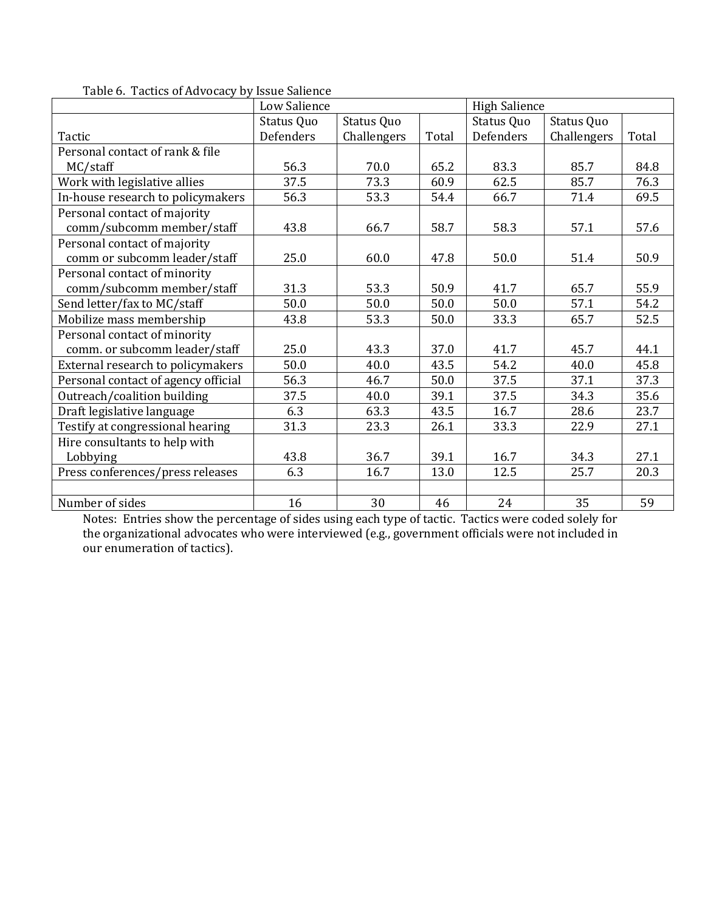|                                     | Low Salience |             |       |            | <b>High Salience</b> |       |  |
|-------------------------------------|--------------|-------------|-------|------------|----------------------|-------|--|
|                                     | Status Quo   | Status Quo  |       | Status Quo | Status Quo           |       |  |
| Tactic                              | Defenders    | Challengers | Total | Defenders  | Challengers          | Total |  |
| Personal contact of rank & file     |              |             |       |            |                      |       |  |
| MC/staff                            | 56.3         | 70.0        | 65.2  | 83.3       | 85.7                 | 84.8  |  |
| Work with legislative allies        | 37.5         | 73.3        | 60.9  | 62.5       | 85.7                 | 76.3  |  |
| In-house research to policymakers   | 56.3         | 53.3        | 54.4  | 66.7       | 71.4                 | 69.5  |  |
| Personal contact of majority        |              |             |       |            |                      |       |  |
| comm/subcomm member/staff           | 43.8         | 66.7        | 58.7  | 58.3       | 57.1                 | 57.6  |  |
| Personal contact of majority        |              |             |       |            |                      |       |  |
| comm or subcomm leader/staff        | 25.0         | 60.0        | 47.8  | 50.0       | 51.4                 | 50.9  |  |
| Personal contact of minority        |              |             |       |            |                      |       |  |
| comm/subcomm member/staff           | 31.3         | 53.3        | 50.9  | 41.7       | 65.7                 | 55.9  |  |
| Send letter/fax to MC/staff         | 50.0         | 50.0        | 50.0  | 50.0       | 57.1                 | 54.2  |  |
| Mobilize mass membership            | 43.8         | 53.3        | 50.0  | 33.3       | 65.7                 | 52.5  |  |
| Personal contact of minority        |              |             |       |            |                      |       |  |
| comm. or subcomm leader/staff       | 25.0         | 43.3        | 37.0  | 41.7       | 45.7                 | 44.1  |  |
| External research to policymakers   | 50.0         | 40.0        | 43.5  | 54.2       | 40.0                 | 45.8  |  |
| Personal contact of agency official | 56.3         | 46.7        | 50.0  | 37.5       | 37.1                 | 37.3  |  |
| Outreach/coalition building         | 37.5         | 40.0        | 39.1  | 37.5       | 34.3                 | 35.6  |  |
| Draft legislative language          | 6.3          | 63.3        | 43.5  | 16.7       | 28.6                 | 23.7  |  |
| Testify at congressional hearing    | 31.3         | 23.3        | 26.1  | 33.3       | 22.9                 | 27.1  |  |
| Hire consultants to help with       |              |             |       |            |                      |       |  |
| Lobbying                            | 43.8         | 36.7        | 39.1  | 16.7       | 34.3                 | 27.1  |  |
| Press conferences/press releases    | 6.3          | 16.7        | 13.0  | 12.5       | 25.7                 | 20.3  |  |
|                                     |              |             |       |            |                      |       |  |
| Number of sides                     | 16           | 30          | 46    | 24         | 35                   | 59    |  |

Table 6. Tactics of Advocacy by Issue Salience

Notes: Entries show the percentage of sides using each type of tactic. Tactics were coded solely for the organizational advocates who were interviewed (e.g., government officials were not included in our enumeration of tactics).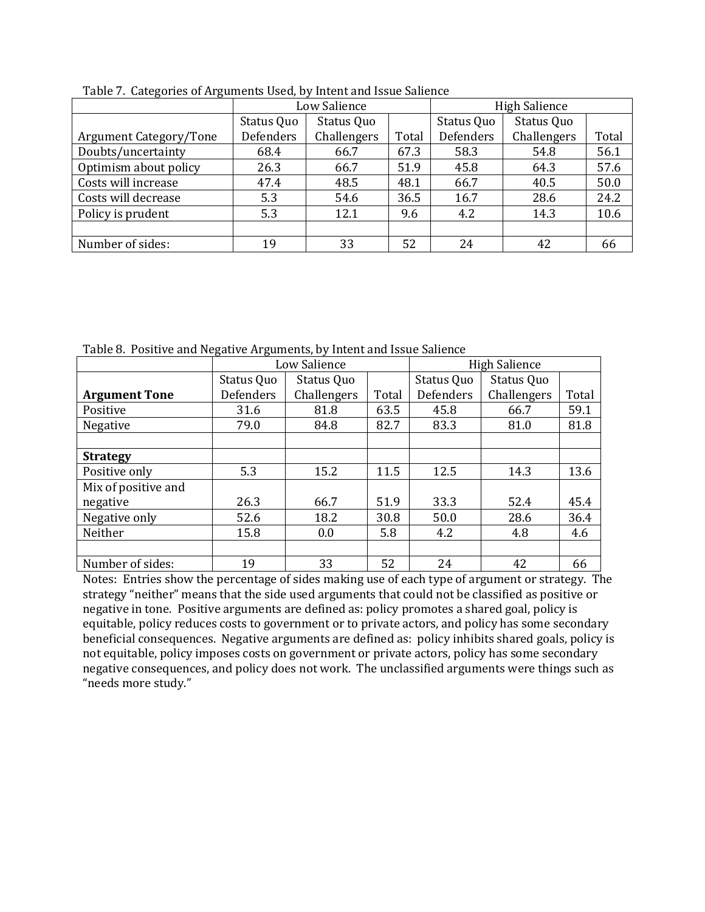| <u>18516 : . Galegories of fingulation obey by fillent and holde ballenes</u> |            | Low Salience |       |            | <b>High Salience</b> |       |  |
|-------------------------------------------------------------------------------|------------|--------------|-------|------------|----------------------|-------|--|
|                                                                               | Status Quo | Status Quo   |       | Status Quo | Status Quo           |       |  |
| <b>Argument Category/Tone</b>                                                 | Defenders  | Challengers  | Total | Defenders  | Challengers          | Total |  |
| Doubts/uncertainty                                                            | 68.4       | 66.7         | 67.3  | 58.3       | 54.8                 | 56.1  |  |
| Optimism about policy                                                         | 26.3       | 66.7         | 51.9  | 45.8       | 64.3                 | 57.6  |  |
| Costs will increase                                                           | 47.4       | 48.5         | 48.1  | 66.7       | 40.5                 | 50.0  |  |
| Costs will decrease                                                           | 5.3        | 54.6         | 36.5  | 16.7       | 28.6                 | 24.2  |  |
| Policy is prudent                                                             | 5.3        | 12.1         | 9.6   | 4.2        | 14.3                 | 10.6  |  |
|                                                                               |            |              |       |            |                      |       |  |
| Number of sides:                                                              | 19         | 33           | 52    | 24         | 42                   | 66    |  |

Table 7. Categories of Arguments Used, by Intent and Issue Salience

Table 8. Positive and Negative Arguments, by Intent and Issue Salience

|                      |            | Low Salience |       |            | <b>High Salience</b> |       |
|----------------------|------------|--------------|-------|------------|----------------------|-------|
|                      | Status Quo | Status Quo   |       | Status Quo | Status Quo           |       |
| <b>Argument Tone</b> | Defenders  | Challengers  | Total | Defenders  | Challengers          | Total |
| Positive             | 31.6       | 81.8         | 63.5  | 45.8       | 66.7                 | 59.1  |
| Negative             | 79.0       | 84.8         | 82.7  | 83.3       | 81.0                 | 81.8  |
|                      |            |              |       |            |                      |       |
| <b>Strategy</b>      |            |              |       |            |                      |       |
| Positive only        | 5.3        | 15.2         | 11.5  | 12.5       | 14.3                 | 13.6  |
| Mix of positive and  |            |              |       |            |                      |       |
| negative             | 26.3       | 66.7         | 51.9  | 33.3       | 52.4                 | 45.4  |
| Negative only        | 52.6       | 18.2         | 30.8  | 50.0       | 28.6                 | 36.4  |
| Neither              | 15.8       | 0.0          | 5.8   | 4.2        | 4.8                  | 4.6   |
|                      |            |              |       |            |                      |       |
| Number of sides:     | 19         | 33           | 52    | 24         | 42                   | 66    |

Notes: Entries show the percentage of sides making use of each type of argument or strategy. The strategy "neither" means that the side used arguments that could not be classified as positive or negative in tone. Positive arguments are defined as: policy promotes a shared goal, policy is equitable, policy reduces costs to government or to private actors, and policy has some secondary beneficial consequences. Negative arguments are defined as: policy inhibits shared goals, policy is not equitable, policy imposes costs on government or private actors, policy has some secondary negative consequences, and policy does not work. The unclassified arguments were things such as "needs more study."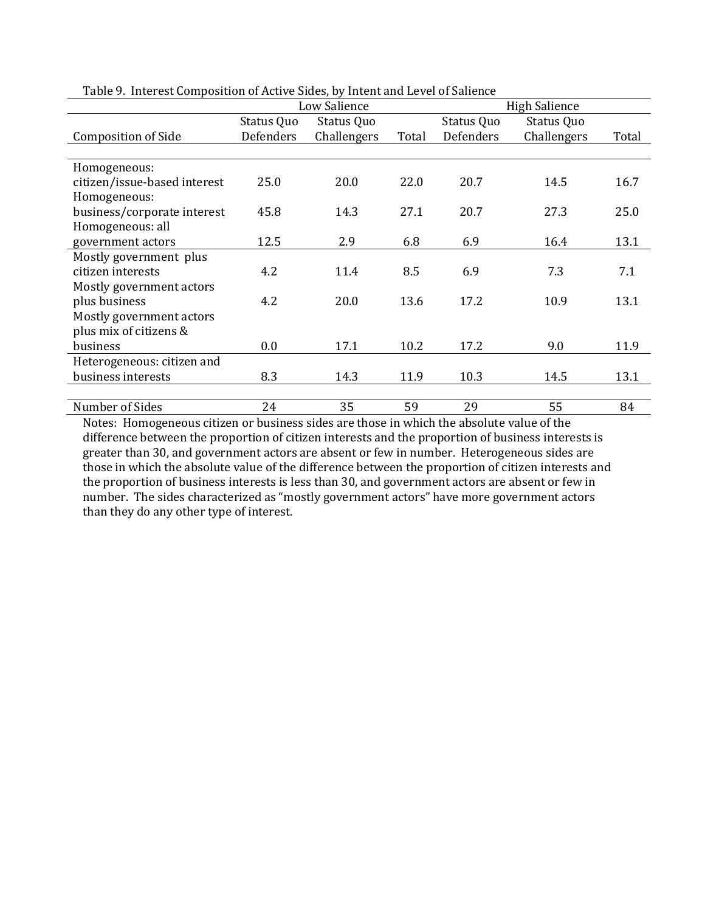|                              | radio 91 miertore composition of Heave States, by mierit and hevel of sanchee |              |       |            |                      |       |  |  |
|------------------------------|-------------------------------------------------------------------------------|--------------|-------|------------|----------------------|-------|--|--|
|                              |                                                                               | Low Salience |       |            | <b>High Salience</b> |       |  |  |
|                              | Status Quo                                                                    | Status Quo   |       | Status Quo | Status Quo           |       |  |  |
| <b>Composition of Side</b>   | Defenders                                                                     | Challengers  | Total | Defenders  | Challengers          | Total |  |  |
|                              |                                                                               |              |       |            |                      |       |  |  |
| Homogeneous:                 |                                                                               |              |       |            |                      |       |  |  |
| citizen/issue-based interest | 25.0                                                                          | 20.0         | 22.0  | 20.7       | 14.5                 | 16.7  |  |  |
| Homogeneous:                 |                                                                               |              |       |            |                      |       |  |  |
| business/corporate interest  | 45.8                                                                          | 14.3         | 27.1  | 20.7       | 27.3                 | 25.0  |  |  |
| Homogeneous: all             |                                                                               |              |       |            |                      |       |  |  |
| government actors            | 12.5                                                                          | 2.9          | 6.8   | 6.9        | 16.4                 | 13.1  |  |  |
| Mostly government plus       |                                                                               |              |       |            |                      |       |  |  |
| citizen interests            | 4.2                                                                           | 11.4         | 8.5   | 6.9        | 7.3                  | 7.1   |  |  |
| Mostly government actors     |                                                                               |              |       |            |                      |       |  |  |
| plus business                | 4.2                                                                           | 20.0         | 13.6  | 17.2       | 10.9                 | 13.1  |  |  |
| Mostly government actors     |                                                                               |              |       |            |                      |       |  |  |
| plus mix of citizens &       |                                                                               |              |       |            |                      |       |  |  |
| business                     | 0.0                                                                           | 17.1         | 10.2  | 17.2       | 9.0                  | 11.9  |  |  |
| Heterogeneous: citizen and   |                                                                               |              |       |            |                      |       |  |  |
| business interests           | 8.3                                                                           | 14.3         | 11.9  | 10.3       | 14.5                 | 13.1  |  |  |
|                              |                                                                               |              |       |            |                      |       |  |  |
| Number of Sides              | 24                                                                            | 35           | 59    | 29         | 55                   | 84    |  |  |

Table 9. Interest Composition of Active Sides, by Intent and Level of Salience

Notes: Homogeneous citizen or business sides are those in which the absolute value of the difference between the proportion of citizen interests and the proportion of business interests is greater than 30, and government actors are absent or few in number. Heterogeneous sides are those in which the absolute value of the difference between the proportion of citizen interests and the proportion of business interests is less than 30, and government actors are absent or few in number. The sides characterized as "mostly government actors" have more government actors than they do any other type of interest.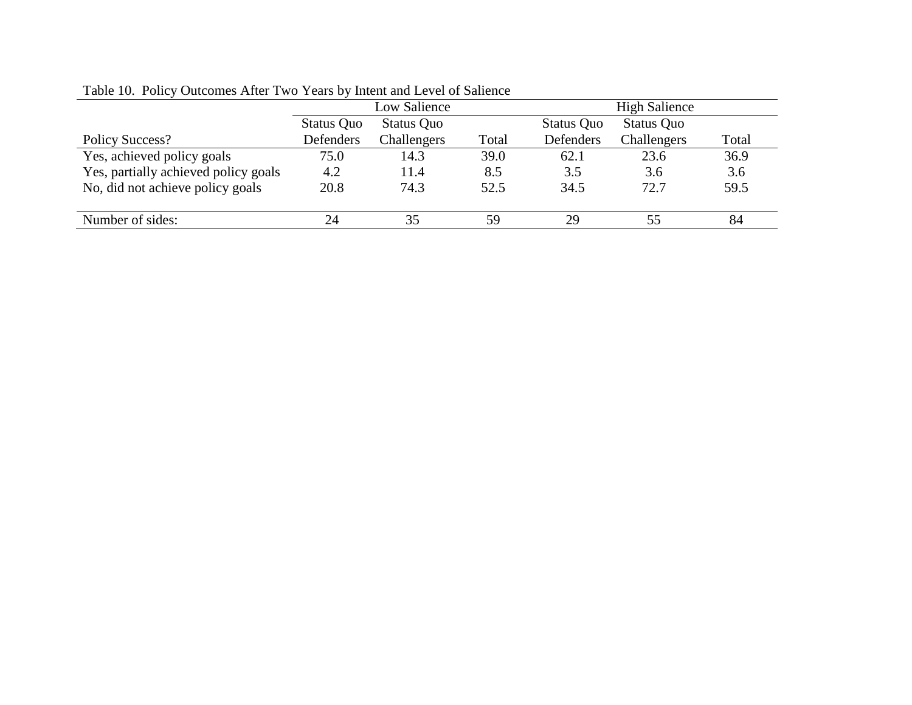| Table To. Toney Outcomes After Two Tears by Intent and Level of Banchee |              |             |       |            |             |       |  |
|-------------------------------------------------------------------------|--------------|-------------|-------|------------|-------------|-------|--|
|                                                                         | Low Salience |             |       |            |             |       |  |
|                                                                         | Status Quo   | Status Quo  |       | Status Quo | Status Quo  |       |  |
| <b>Policy Success?</b>                                                  | Defenders    | Challengers | Total | Defenders  | Challengers | Total |  |
| Yes, achieved policy goals                                              | 75.0         | 14.3        | 39.0  | 62.1       | 23.6        | 36.9  |  |
| Yes, partially achieved policy goals                                    | 4.2          | 11.4        | 8.5   | 3.5        | 3.6         | 3.6   |  |
| No, did not achieve policy goals                                        | 20.8         | 74.3        | 52.5  | 34.5       | 72.7        | 59.5  |  |
|                                                                         |              |             |       |            |             |       |  |
| Number of sides:                                                        | 24           | 35          | 59    | 29         | 55          | 84    |  |

Table 10. Policy Outcomes After Two Years by Intent and Level of Salience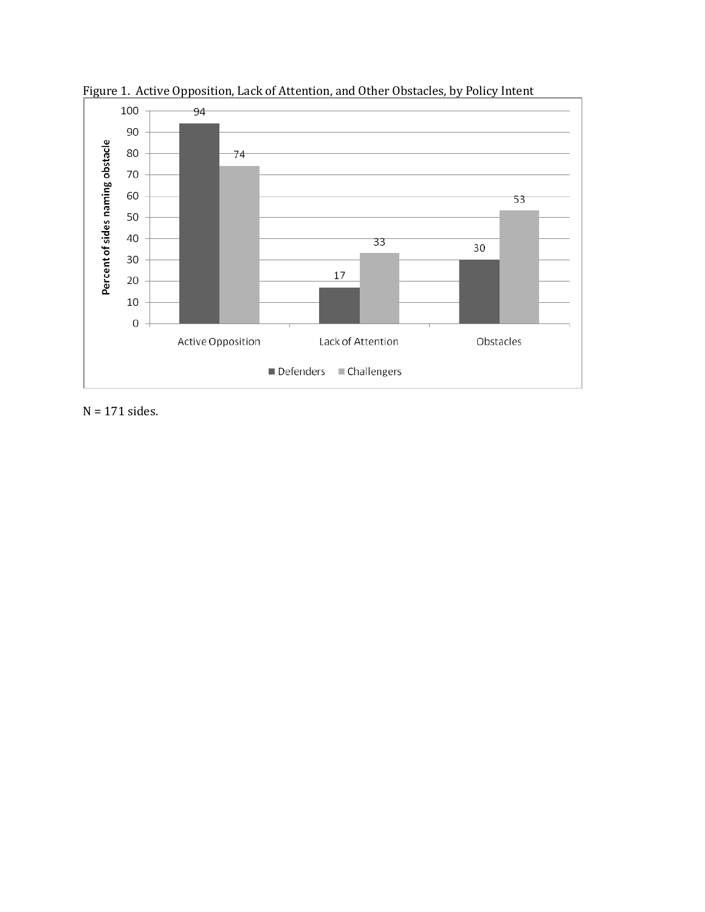

Figure 1. Active Opposition, Lack of Attention, and Other Obstacles, by Policy Intent

N = 171 sides.